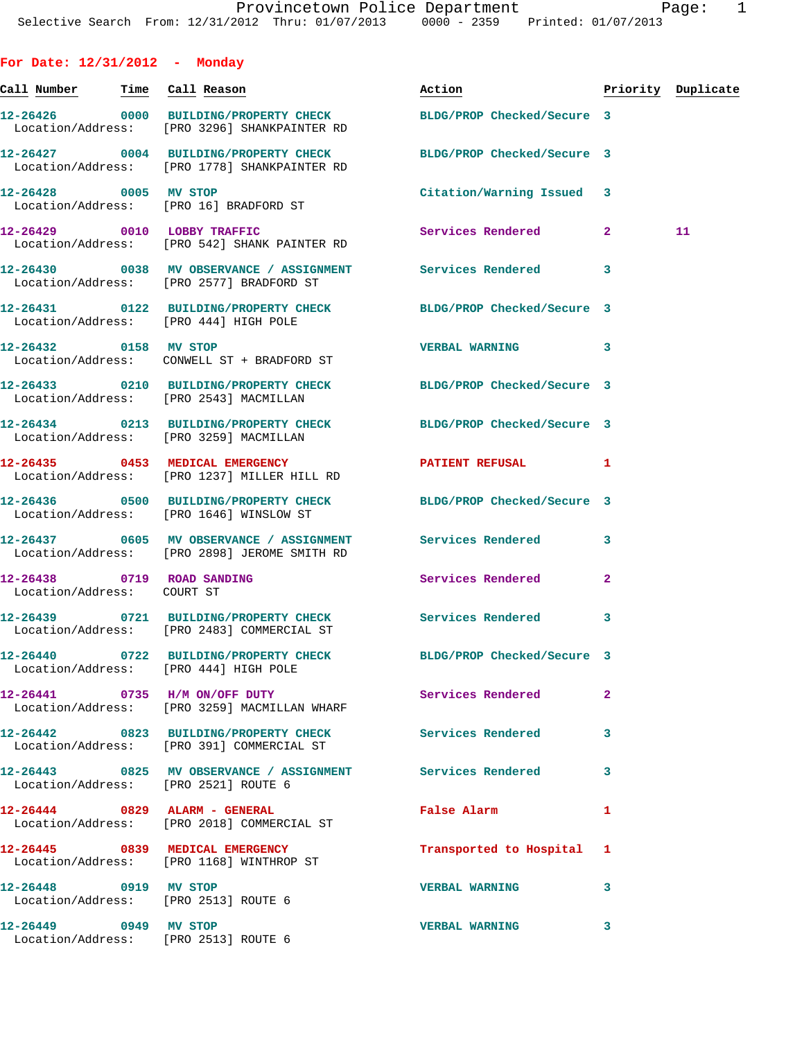**For Date: 12/31/2012 - Monday**

| <u>Call Number — Time Call Reason</u>                         |                                                                                                                  | Action                     |              | Priority Duplicate |
|---------------------------------------------------------------|------------------------------------------------------------------------------------------------------------------|----------------------------|--------------|--------------------|
|                                                               | 12-26426 0000 BUILDING/PROPERTY CHECK BLDG/PROP Checked/Secure 3<br>Location/Address: [PRO 3296] SHANKPAINTER RD |                            |              |                    |
|                                                               | 12-26427 0004 BUILDING/PROPERTY CHECK<br>Location/Address: [PRO 1778] SHANKPAINTER RD                            | BLDG/PROP Checked/Secure 3 |              |                    |
| 12-26428 0005 MV STOP                                         | Location/Address: [PRO 16] BRADFORD ST                                                                           | Citation/Warning Issued 3  |              |                    |
|                                                               | 12-26429 0010 LOBBY TRAFFIC<br>Location/Address: [PRO 542] SHANK PAINTER RD                                      | Services Rendered          | $\mathbf{2}$ | 11                 |
|                                                               | 12-26430 0038 MV OBSERVANCE / ASSIGNMENT Services Rendered<br>Location/Address: [PRO 2577] BRADFORD ST           |                            | -3           |                    |
| Location/Address: [PRO 444] HIGH POLE                         | 12-26431 0122 BUILDING/PROPERTY CHECK BLDG/PROP Checked/Secure 3                                                 |                            |              |                    |
| 12-26432 0158 MV STOP                                         | Location/Address: CONWELL ST + BRADFORD ST                                                                       | <b>VERBAL WARNING</b>      | 3            |                    |
| Location/Address: [PRO 2543] MACMILLAN                        | 12-26433 0210 BUILDING/PROPERTY CHECK                                                                            | BLDG/PROP Checked/Secure 3 |              |                    |
| Location/Address: [PRO 3259] MACMILLAN                        | 12-26434 0213 BUILDING/PROPERTY CHECK                                                                            | BLDG/PROP Checked/Secure 3 |              |                    |
|                                                               | 12-26435 0453 MEDICAL EMERGENCY<br>Location/Address: [PRO 1237] MILLER HILL RD                                   | PATIENT REFUSAL 1          |              |                    |
|                                                               | 12-26436 0500 BUILDING/PROPERTY CHECK BLDG/PROP Checked/Secure 3<br>Location/Address: [PRO 1646] WINSLOW ST      |                            |              |                    |
|                                                               | 12-26437 0605 MV OBSERVANCE / ASSIGNMENT Services Rendered<br>Location/Address: [PRO 2898] JEROME SMITH RD       |                            | 3            |                    |
| 12-26438 0719 ROAD SANDING<br>Location/Address: COURT ST      |                                                                                                                  | Services Rendered          | 2            |                    |
|                                                               | 12-26439 0721 BUILDING/PROPERTY CHECK Services Rendered<br>Location/Address: [PRO 2483] COMMERCIAL ST            |                            | 3            |                    |
| 12-26440 0722<br>Location/Address: [PRO 444] HIGH POLE        | BUILDING/PROPERTY CHECK                                                                                          | BLDG/PROP Checked/Secure 3 |              |                    |
|                                                               | 12-26441 0735 H/M ON/OFF DUTY<br>Location/Address: [PRO 3259] MACMILLAN WHARF                                    | <b>Services Rendered</b>   | $\mathbf{2}$ |                    |
|                                                               | 12-26442 0823 BUILDING/PROPERTY CHECK<br>Location/Address: [PRO 391] COMMERCIAL ST                               | Services Rendered          | 3            |                    |
| Location/Address: [PRO 2521] ROUTE 6                          | 12-26443 6825 MV OBSERVANCE / ASSIGNMENT Services Rendered                                                       |                            | 3            |                    |
|                                                               | $12-26444$ 0829 ALARM - GENERAL<br>Location/Address: [PRO 2018] COMMERCIAL ST                                    | False Alarm                | 1            |                    |
|                                                               | 12-26445 0839 MEDICAL EMERGENCY<br>Location/Address: [PRO 1168] WINTHROP ST                                      | Transported to Hospital 1  |              |                    |
| 12-26448 0919 MV STOP<br>Location/Address: [PRO 2513] ROUTE 6 |                                                                                                                  | <b>VERBAL WARNING</b>      | 3            |                    |
| 12-26449 0949 MV STOP<br>Location/Address: [PRO 2513] ROUTE 6 |                                                                                                                  | <b>VERBAL WARNING</b>      | 3            |                    |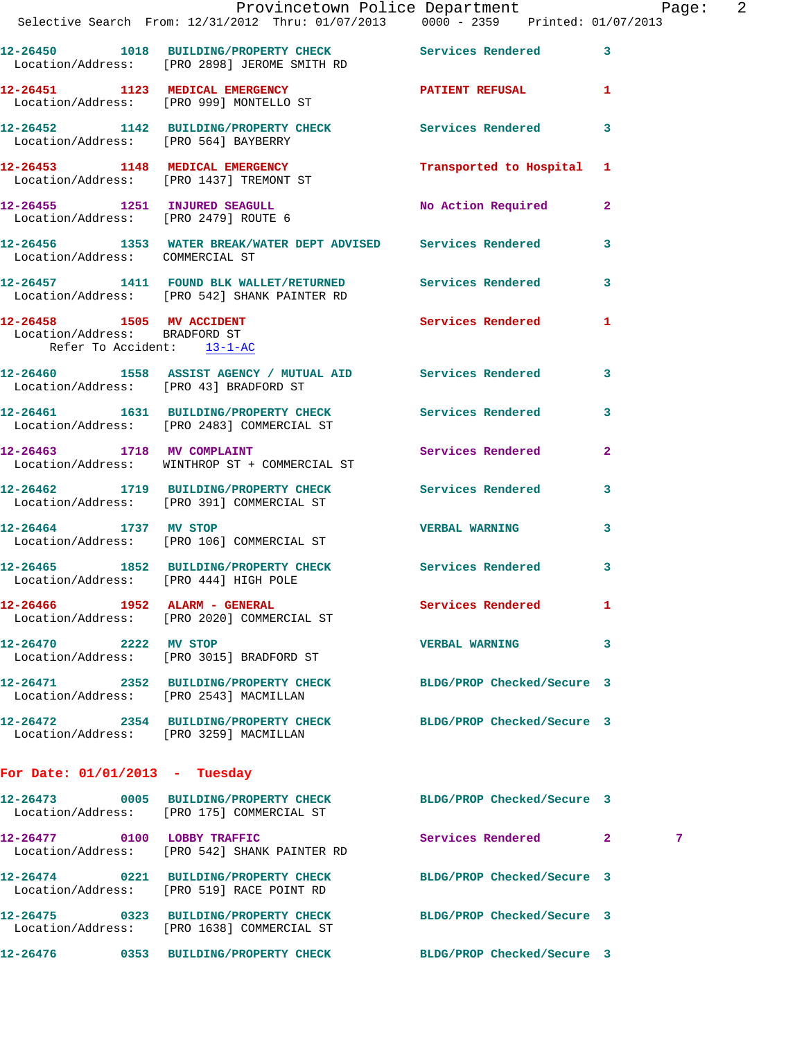|                                                             | Provincetown Police Department Page: 2                                                                        |                            |              |
|-------------------------------------------------------------|---------------------------------------------------------------------------------------------------------------|----------------------------|--------------|
|                                                             | Selective Search From: 12/31/2012 Thru: 01/07/2013  0000 - 2359  Printed: 01/07/2013                          |                            |              |
|                                                             | 12-26450 1018 BUILDING/PROPERTY CHECK Services Rendered 3<br>Location/Address: [PRO 2898] JEROME SMITH RD     |                            |              |
|                                                             | 12-26451 1123 MEDICAL EMERGENCY PATIENT REFUSAL 1<br>Location/Address: [PRO 999] MONTELLO ST                  |                            |              |
|                                                             | 12-26452 1142 BUILDING/PROPERTY CHECK Services Rendered 3<br>Location/Address: [PRO 564] BAYBERRY             |                            |              |
|                                                             | 12-26453 1148 MEDICAL EMERGENCY<br>Location/Address: [PRO 1437] TREMONT ST                                    | Transported to Hospital 1  |              |
|                                                             | 12-26455 1251 INJURED SEAGULL<br>Location/Address: [PRO 2479] ROUTE 6                                         | No Action Required 2       |              |
| Location/Address: COMMERCIAL ST                             | 12-26456 1353 WATER BREAK/WATER DEPT ADVISED Services Rendered 3                                              |                            |              |
|                                                             | 12-26457 1411 FOUND BLK WALLET/RETURNED Services Rendered 3<br>Location/Address: [PRO 542] SHANK PAINTER RD   |                            |              |
| Location/Address: BRADFORD ST<br>Refer To Accident: 13-1-AC | 12-26458 1505 MV ACCIDENT 12-26458 Rendered 1                                                                 |                            |              |
|                                                             | 12-26460 1558 ASSIST AGENCY / MUTUAL AID Services Rendered 3<br>Location/Address: [PRO 43] BRADFORD ST        |                            |              |
|                                                             | 12-26461 1631 BUILDING/PROPERTY CHECK Services Rendered 3<br>Location/Address: [PRO 2483] COMMERCIAL ST       |                            |              |
|                                                             | 12-26463 1718 MV COMPLAINT<br>Location/Address: WINTHROP ST + COMMERCIAL ST                                   | Services Rendered 2        |              |
|                                                             | 12-26462 1719 BUILDING/PROPERTY CHECK Services Rendered 3<br>Location/Address: [PRO 391] COMMERCIAL ST        |                            |              |
| 12-26464 1737 MV STOP                                       | Location/Address: [PRO 106] COMMERCIAL ST                                                                     | <b>VERBAL WARNING</b>      | $\mathbf{3}$ |
|                                                             | 12-26465 1852 BUILDING/PROPERTY CHECK Services Rendered 3<br>Location/Address: [PRO 444] HIGH POLE            |                            |              |
|                                                             | 12-26466 1952 ALARM - GENERAL<br>Location/Address: [PRO 2020] COMMERCIAL ST                                   | Services Rendered 1        |              |
| 12-26470 2222 MV STOP                                       | Location/Address: [PRO 3015] BRADFORD ST                                                                      | VERBAL WARNING 3           |              |
| Location/Address: [PRO 2543] MACMILLAN                      | 12-26471 2352 BUILDING/PROPERTY CHECK BLDG/PROP Checked/Secure 3                                              |                            |              |
| Location/Address: [PRO 3259] MACMILLAN                      | 12-26472 2354 BUILDING/PROPERTY CHECK BLDG/PROP Checked/Secure 3                                              |                            |              |
| For Date: $01/01/2013$ - Tuesday                            |                                                                                                               |                            |              |
|                                                             | 12-26473 0005 BUILDING/PROPERTY CHECK BLDG/PROP Checked/Secure 3<br>Location/Address: [PRO 175] COMMERCIAL ST |                            |              |
| 12-26477 0100 LOBBY TRAFFIC                                 | Location/Address: [PRO 542] SHANK PAINTER RD                                                                  | Services Rendered 2        | 7            |
|                                                             | 12-26474 0221 BUILDING/PROPERTY CHECK<br>Location/Address: [PRO 519] RACE POINT RD                            | BLDG/PROP Checked/Secure 3 |              |
|                                                             | 12-26475 0323 BUILDING/PROPERTY CHECK<br>Location/Address: [PRO 1638] COMMERCIAL ST                           | BLDG/PROP Checked/Secure 3 |              |
|                                                             | 12-26476 0353 BUILDING/PROPERTY CHECK BLDG/PROP Checked/Secure 3                                              |                            |              |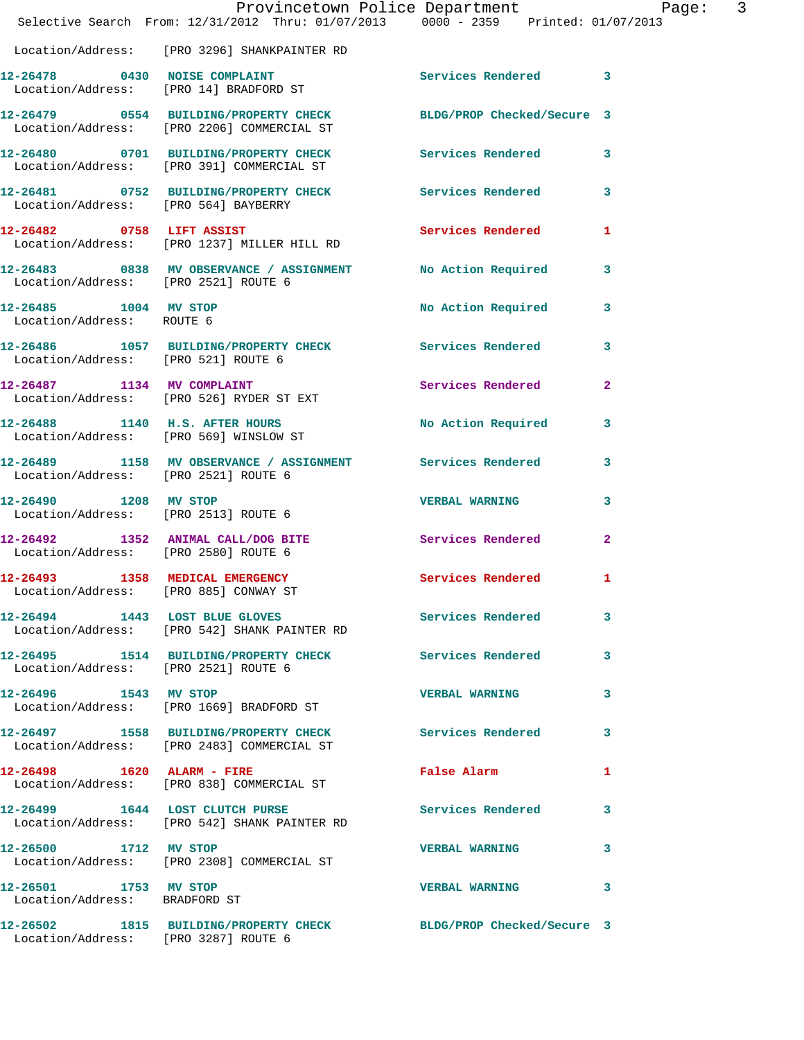|                                                        | Provincetown Police Department<br>Selective Search From: 12/31/2012 Thru: 01/07/2013 0000 - 2359 Printed: 01/07/2013 |                                 |              |
|--------------------------------------------------------|----------------------------------------------------------------------------------------------------------------------|---------------------------------|--------------|
|                                                        | Location/Address: [PRO 3296] SHANKPAINTER RD                                                                         |                                 |              |
|                                                        | 12-26478 0430 NOISE COMPLAINT<br>Location/Address: [PRO 14] BRADFORD ST                                              | Services Rendered 3             |              |
|                                                        | 12-26479 0554 BUILDING/PROPERTY CHECK BLDG/PROP Checked/Secure 3<br>Location/Address: [PRO 2206] COMMERCIAL ST       |                                 |              |
|                                                        | 12-26480 0701 BUILDING/PROPERTY CHECK Services Rendered 3<br>Location/Address: [PRO 391] COMMERCIAL ST               |                                 |              |
|                                                        | 12-26481 0752 BUILDING/PROPERTY CHECK Services Rendered 3<br>Location/Address: [PRO 564] BAYBERRY                    |                                 |              |
|                                                        | 12-26482 0758 LIFT ASSIST<br>Location/Address: [PRO 1237] MILLER HILL RD                                             | Services Rendered 1             |              |
|                                                        | 12-26483 0838 MV OBSERVANCE / ASSIGNMENT No Action Required 3<br>Location/Address: [PRO 2521] ROUTE 6                |                                 |              |
| 12-26485 1004 MV STOP<br>Location/Address: ROUTE 6     |                                                                                                                      | No Action Required 3            |              |
| Location/Address: [PRO 521] ROUTE 6                    | 12-26486 1057 BUILDING/PROPERTY CHECK Services Rendered 3                                                            |                                 |              |
|                                                        | 12-26487 1134 MV COMPLAINT<br>Location/Address: [PRO 526] RYDER ST EXT                                               | Services Rendered 2             |              |
|                                                        | 12-26488 1140 H.S. AFTER HOURS<br>Location/Address: [PRO 569] WINSLOW ST                                             | No Action Required 3            |              |
|                                                        | 12-26489 1158 MV OBSERVANCE / ASSIGNMENT Services Rendered 3<br>Location/Address: [PRO 2521] ROUTE 6                 |                                 |              |
|                                                        | 12-26490 1208 MV STOP<br>Location/Address: [PRO 2513] ROUTE 6                                                        | <b>VERBAL WARNING</b>           | 3            |
|                                                        | 12-26492 1352 ANIMAL CALL/DOG BITE<br>Location/Address: [PRO 2580] ROUTE 6                                           | Services Rendered               | $\mathbf{2}$ |
|                                                        | 12-26493 1358 MEDICAL EMERGENCY Services Rendered<br>Location/Address: [PRO 885] CONWAY ST                           |                                 | $\mathbf{1}$ |
|                                                        | 12-26494 1443 LOST BLUE GLOVES<br>Location/Address: [PRO 542] SHANK PAINTER RD                                       | Services Rendered               | $\mathbf{3}$ |
|                                                        | 12-26495 1514 BUILDING/PROPERTY CHECK Services Rendered 3<br>Location/Address: [PRO 2521] ROUTE 6                    |                                 |              |
| 12-26496 1543 MV STOP                                  | Location/Address: [PRO 1669] BRADFORD ST                                                                             | VERBAL WARNING 3                |              |
|                                                        | 12-26497 1558 BUILDING/PROPERTY CHECK Services Rendered 3<br>Location/Address: [PRO 2483] COMMERCIAL ST              |                                 |              |
|                                                        | 12-26498 1620 ALARM - FIRE<br>Location/Address: [PRO 838] COMMERCIAL ST                                              | False Alarm <b>Example 2018</b> | $\mathbf{1}$ |
|                                                        | 12-26499 1644 LOST CLUTCH PURSE<br>Location/Address: [PRO 542] SHANK PAINTER RD                                      | Services Rendered 3             |              |
| 12-26500 1712 MV STOP                                  | Location/Address: [PRO 2308] COMMERCIAL ST                                                                           | VERBAL WARNING 3                |              |
| 12-26501 1753 MV STOP<br>Location/Address: BRADFORD ST |                                                                                                                      | VERBAL WARNING 3                |              |
|                                                        | 12-26502 1815 BUILDING/PROPERTY CHECK BLDG/PROP Checked/Secure 3<br>Location/Address: [PRO 3287] ROUTE 6             |                                 |              |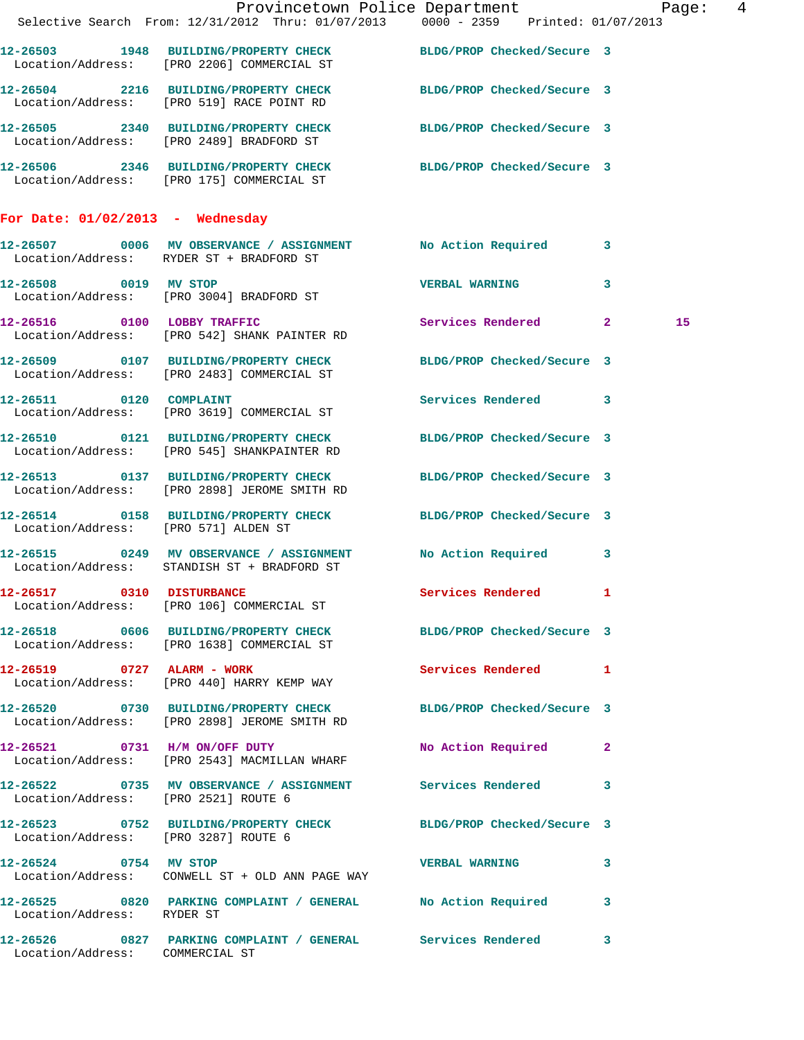|                                      | Provincetown Police Department Page: 4                                                                           |                      |    |
|--------------------------------------|------------------------------------------------------------------------------------------------------------------|----------------------|----|
|                                      | Selective Search From: 12/31/2012 Thru: 01/07/2013 0000 - 2359 Printed: 01/07/2013                               |                      |    |
|                                      | 12-26503 1948 BUILDING/PROPERTY CHECK BLDG/PROP Checked/Secure 3<br>Location/Address: [PRO 2206] COMMERCIAL ST   |                      |    |
|                                      | 12-26504 2216 BUILDING/PROPERTY CHECK BLDG/PROP Checked/Secure 3<br>Location/Address: [PRO 519] RACE POINT RD    |                      |    |
|                                      | 12-26505 2340 BUILDING/PROPERTY CHECK BLDG/PROP Checked/Secure 3<br>Location/Address: [PRO 2489] BRADFORD ST     |                      |    |
|                                      | 12-26506 2346 BUILDING/PROPERTY CHECK BLDG/PROP Checked/Secure 3<br>Location/Address: [PRO 175] COMMERCIAL ST    |                      |    |
| For Date: $01/02/2013$ - Wednesday   |                                                                                                                  |                      |    |
|                                      | 12-26507 0006 MV OBSERVANCE / ASSIGNMENT No Action Required 3<br>Location/Address: RYDER ST + BRADFORD ST        |                      |    |
| 12-26508 0019 MV STOP                | Location/Address: [PRO 3004] BRADFORD ST                                                                         | VERBAL WARNING 3     |    |
|                                      | 12-26516 0100 LOBBY TRAFFIC<br>Location/Address: [PRO 542] SHANK PAINTER RD                                      | Services Rendered 2  | 15 |
|                                      | 12-26509 0107 BUILDING/PROPERTY CHECK BLDG/PROP Checked/Secure 3<br>Location/Address: [PRO 2483] COMMERCIAL ST   |                      |    |
|                                      | 12-26511 0120 COMPLAINT<br>Location/Address: [PRO 3619] COMMERCIAL ST                                            | Services Rendered 3  |    |
|                                      | 12-26510 0121 BUILDING/PROPERTY CHECK BLDG/PROP Checked/Secure 3<br>Location/Address: [PRO 545] SHANKPAINTER RD  |                      |    |
|                                      | 12-26513 0137 BUILDING/PROPERTY CHECK BLDG/PROP Checked/Secure 3<br>Location/Address: [PRO 2898] JEROME SMITH RD |                      |    |
| Location/Address: [PRO 571] ALDEN ST | 12-26514 0158 BUILDING/PROPERTY CHECK BLDG/PROP Checked/Secure 3                                                 |                      |    |
|                                      | 12-26515 0249 MV OBSERVANCE / ASSIGNMENT No Action Required 3<br>Location/Address: STANDISH ST + BRADFORD ST     |                      |    |
|                                      | 12-26517 0310 DISTURBANCE<br>Location/Address: [PRO 106] COMMERCIAL ST                                           | Services Rendered 1  |    |
|                                      | 12-26518 0606 BUILDING/PROPERTY CHECK BLDG/PROP Checked/Secure 3<br>Location/Address: [PRO 1638] COMMERCIAL ST   |                      |    |
|                                      | 12-26519 0727 ALARM - WORK<br>Location/Address: [PRO 440] HARRY KEMP WAY                                         | Services Rendered 1  |    |
|                                      | 12-26520 0730 BUILDING/PROPERTY CHECK BLDG/PROP Checked/Secure 3<br>Location/Address: [PRO 2898] JEROME SMITH RD |                      |    |
|                                      | 12-26521 0731 H/M ON/OFF DUTY<br>Location/Address: [PRO 2543] MACMILLAN WHARF                                    | No Action Required 2 |    |
| Location/Address: [PRO 2521] ROUTE 6 | 12-26522 0735 MV OBSERVANCE / ASSIGNMENT Services Rendered 3                                                     |                      |    |
| Location/Address: [PRO 3287] ROUTE 6 | 12-26523 0752 BUILDING/PROPERTY CHECK BLDG/PROP Checked/Secure 3                                                 |                      |    |
|                                      | 12-26524 0754 MV STOP CONTROL TO VERBAL WARNING<br>Location/Address: CONWELL ST + OLD ANN PAGE WAY               |                      | 3  |
| Location/Address: RYDER ST           | 12-26525 0820 PARKING COMPLAINT / GENERAL No Action Required 3                                                   |                      |    |
| Location/Address: COMMERCIAL ST      | 12-26526 0827 PARKING COMPLAINT / GENERAL Services Rendered 3                                                    |                      |    |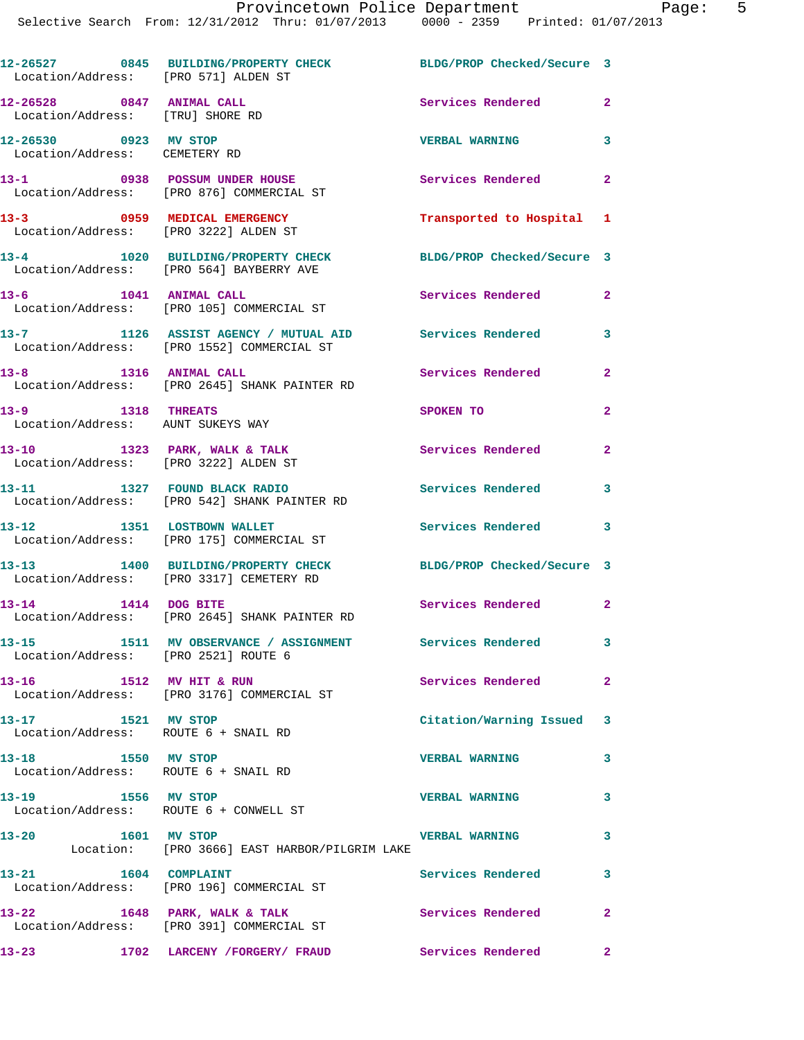| vincetown Police Department |               | Page                |
|-----------------------------|---------------|---------------------|
| Thru: 01/07/2013            | $0000 - 2359$ | Printed: 01/07/2013 |
|                             |               |                     |

| 12-26527 0845 BUILDING/PROPERTY CHECK<br>BLDG/PROP Checked/Secure 3<br>Location/Address: [PRO 571] ALDEN ST<br>12-26528 0847 ANIMAL CALL<br>Services Rendered<br>Location/Address: [TRU] SHORE RD<br>12-26530 0923 MV STOP<br><b>VERBAL WARNING</b><br>Location/Address: CEMETERY RD<br>13-1 0938 POSSUM UNDER HOUSE<br>Services Rendered 2<br>Location/Address: [PRO 876] COMMERCIAL ST<br>13-3 0959 MEDICAL EMERGENCY<br>Location/Address: [PRO 3222] ALDEN ST<br>Transported to Hospital 1<br>13-4 1020 BUILDING/PROPERTY CHECK<br>BLDG/PROP Checked/Secure 3<br>Location/Address: [PRO 564] BAYBERRY AVE<br>13-6 1041 ANIMAL CALL<br>Services Rendered<br>Location/Address: [PRO 105] COMMERCIAL ST<br>13-7 1126 ASSIST AGENCY / MUTUAL AID<br><b>Services Rendered</b><br>Location/Address: [PRO 1552] COMMERCIAL ST<br>13-8 1316 ANIMAL CALL<br>Services Rendered<br>Location/Address: [PRO 2645] SHANK PAINTER RD<br>13-9 1318 THREATS<br>SPOKEN TO<br>Location/Address: AUNT SUKEYS WAY<br>13-10 1323 PARK, WALK & TALK<br>Services Rendered<br>Location/Address: [PRO 3222] ALDEN ST<br>13-11 1327 FOUND BLACK RADIO<br><b>Services Rendered</b><br>Location/Address: [PRO 542] SHANK PAINTER RD<br>13-12 1351 LOSTBOWN WALLET<br>Services Rendered 3<br>Location/Address: [PRO 175] COMMERCIAL ST<br>13-13 1400 BUILDING/PROPERTY CHECK<br>BLDG/PROP Checked/Secure 3<br>Location/Address: [PRO 3317] CEMETERY RD<br>13-14 1414 DOG BITE<br>Services Rendered 2<br>Location/Address: [PRO 2645] SHANK PAINTER RD<br>13-15 1511 MV OBSERVANCE / ASSIGNMENT Services Rendered |  |                   |                         |
|---------------------------------------------------------------------------------------------------------------------------------------------------------------------------------------------------------------------------------------------------------------------------------------------------------------------------------------------------------------------------------------------------------------------------------------------------------------------------------------------------------------------------------------------------------------------------------------------------------------------------------------------------------------------------------------------------------------------------------------------------------------------------------------------------------------------------------------------------------------------------------------------------------------------------------------------------------------------------------------------------------------------------------------------------------------------------------------------------------------------------------------------------------------------------------------------------------------------------------------------------------------------------------------------------------------------------------------------------------------------------------------------------------------------------------------------------------------------------------------------------------------------------------------------------------------------------------------|--|-------------------|-------------------------|
|                                                                                                                                                                                                                                                                                                                                                                                                                                                                                                                                                                                                                                                                                                                                                                                                                                                                                                                                                                                                                                                                                                                                                                                                                                                                                                                                                                                                                                                                                                                                                                                       |  |                   |                         |
|                                                                                                                                                                                                                                                                                                                                                                                                                                                                                                                                                                                                                                                                                                                                                                                                                                                                                                                                                                                                                                                                                                                                                                                                                                                                                                                                                                                                                                                                                                                                                                                       |  |                   | $\mathbf{2}$            |
|                                                                                                                                                                                                                                                                                                                                                                                                                                                                                                                                                                                                                                                                                                                                                                                                                                                                                                                                                                                                                                                                                                                                                                                                                                                                                                                                                                                                                                                                                                                                                                                       |  |                   | 3                       |
|                                                                                                                                                                                                                                                                                                                                                                                                                                                                                                                                                                                                                                                                                                                                                                                                                                                                                                                                                                                                                                                                                                                                                                                                                                                                                                                                                                                                                                                                                                                                                                                       |  |                   |                         |
|                                                                                                                                                                                                                                                                                                                                                                                                                                                                                                                                                                                                                                                                                                                                                                                                                                                                                                                                                                                                                                                                                                                                                                                                                                                                                                                                                                                                                                                                                                                                                                                       |  |                   |                         |
|                                                                                                                                                                                                                                                                                                                                                                                                                                                                                                                                                                                                                                                                                                                                                                                                                                                                                                                                                                                                                                                                                                                                                                                                                                                                                                                                                                                                                                                                                                                                                                                       |  |                   |                         |
|                                                                                                                                                                                                                                                                                                                                                                                                                                                                                                                                                                                                                                                                                                                                                                                                                                                                                                                                                                                                                                                                                                                                                                                                                                                                                                                                                                                                                                                                                                                                                                                       |  |                   | $\mathbf{2}$            |
|                                                                                                                                                                                                                                                                                                                                                                                                                                                                                                                                                                                                                                                                                                                                                                                                                                                                                                                                                                                                                                                                                                                                                                                                                                                                                                                                                                                                                                                                                                                                                                                       |  |                   | 3                       |
|                                                                                                                                                                                                                                                                                                                                                                                                                                                                                                                                                                                                                                                                                                                                                                                                                                                                                                                                                                                                                                                                                                                                                                                                                                                                                                                                                                                                                                                                                                                                                                                       |  |                   | $\mathbf{2}$            |
|                                                                                                                                                                                                                                                                                                                                                                                                                                                                                                                                                                                                                                                                                                                                                                                                                                                                                                                                                                                                                                                                                                                                                                                                                                                                                                                                                                                                                                                                                                                                                                                       |  |                   | $\mathbf{2}$            |
|                                                                                                                                                                                                                                                                                                                                                                                                                                                                                                                                                                                                                                                                                                                                                                                                                                                                                                                                                                                                                                                                                                                                                                                                                                                                                                                                                                                                                                                                                                                                                                                       |  |                   | $\mathbf{2}$            |
|                                                                                                                                                                                                                                                                                                                                                                                                                                                                                                                                                                                                                                                                                                                                                                                                                                                                                                                                                                                                                                                                                                                                                                                                                                                                                                                                                                                                                                                                                                                                                                                       |  |                   | 3                       |
|                                                                                                                                                                                                                                                                                                                                                                                                                                                                                                                                                                                                                                                                                                                                                                                                                                                                                                                                                                                                                                                                                                                                                                                                                                                                                                                                                                                                                                                                                                                                                                                       |  |                   |                         |
|                                                                                                                                                                                                                                                                                                                                                                                                                                                                                                                                                                                                                                                                                                                                                                                                                                                                                                                                                                                                                                                                                                                                                                                                                                                                                                                                                                                                                                                                                                                                                                                       |  |                   |                         |
|                                                                                                                                                                                                                                                                                                                                                                                                                                                                                                                                                                                                                                                                                                                                                                                                                                                                                                                                                                                                                                                                                                                                                                                                                                                                                                                                                                                                                                                                                                                                                                                       |  |                   |                         |
| Location/Address: [PRO 2521] ROUTE 6                                                                                                                                                                                                                                                                                                                                                                                                                                                                                                                                                                                                                                                                                                                                                                                                                                                                                                                                                                                                                                                                                                                                                                                                                                                                                                                                                                                                                                                                                                                                                  |  |                   | $\mathbf{3}$            |
| 13-16 1512 MV HIT & RUN<br>Services Rendered<br>Location/Address: [PRO 3176] COMMERCIAL ST                                                                                                                                                                                                                                                                                                                                                                                                                                                                                                                                                                                                                                                                                                                                                                                                                                                                                                                                                                                                                                                                                                                                                                                                                                                                                                                                                                                                                                                                                            |  |                   | $\mathbf{2}$            |
|                                                                                                                                                                                                                                                                                                                                                                                                                                                                                                                                                                                                                                                                                                                                                                                                                                                                                                                                                                                                                                                                                                                                                                                                                                                                                                                                                                                                                                                                                                                                                                                       |  |                   |                         |
| 13-17 1521 MV STOP<br>Citation/Warning Issued 3<br>Location/Address: ROUTE 6 + SNAIL RD                                                                                                                                                                                                                                                                                                                                                                                                                                                                                                                                                                                                                                                                                                                                                                                                                                                                                                                                                                                                                                                                                                                                                                                                                                                                                                                                                                                                                                                                                               |  |                   | $\overline{\mathbf{3}}$ |
| 13-18 1550 MV STOP<br><b>VERBAL WARNING</b><br>Location/Address: ROUTE 6 + SNAIL RD                                                                                                                                                                                                                                                                                                                                                                                                                                                                                                                                                                                                                                                                                                                                                                                                                                                                                                                                                                                                                                                                                                                                                                                                                                                                                                                                                                                                                                                                                                   |  |                   | $\mathbf{3}$            |
| 13-19 1556 MV STOP<br><b>VERBAL WARNING</b><br>Location/Address: ROUTE 6 + CONWELL ST                                                                                                                                                                                                                                                                                                                                                                                                                                                                                                                                                                                                                                                                                                                                                                                                                                                                                                                                                                                                                                                                                                                                                                                                                                                                                                                                                                                                                                                                                                 |  |                   | $\mathbf{3}$            |
| 13-20 1601 MV STOP<br><b>VERBAL WARNING</b><br>Location: [PRO 3666] EAST HARBOR/PILGRIM LAKE                                                                                                                                                                                                                                                                                                                                                                                                                                                                                                                                                                                                                                                                                                                                                                                                                                                                                                                                                                                                                                                                                                                                                                                                                                                                                                                                                                                                                                                                                          |  | Services Rendered | 3                       |
| 13-21 1604 COMPLAINT<br>Location/Address: [PRO 196] COMMERCIAL ST                                                                                                                                                                                                                                                                                                                                                                                                                                                                                                                                                                                                                                                                                                                                                                                                                                                                                                                                                                                                                                                                                                                                                                                                                                                                                                                                                                                                                                                                                                                     |  |                   |                         |
| 13-22 1648 PARK, WALK & TALK<br>Services Rendered 2<br>Location/Address: [PRO 391] COMMERCIAL ST                                                                                                                                                                                                                                                                                                                                                                                                                                                                                                                                                                                                                                                                                                                                                                                                                                                                                                                                                                                                                                                                                                                                                                                                                                                                                                                                                                                                                                                                                      |  |                   | $\mathbf{2}$            |
|                                                                                                                                                                                                                                                                                                                                                                                                                                                                                                                                                                                                                                                                                                                                                                                                                                                                                                                                                                                                                                                                                                                                                                                                                                                                                                                                                                                                                                                                                                                                                                                       |  |                   |                         |
|                                                                                                                                                                                                                                                                                                                                                                                                                                                                                                                                                                                                                                                                                                                                                                                                                                                                                                                                                                                                                                                                                                                                                                                                                                                                                                                                                                                                                                                                                                                                                                                       |  |                   |                         |
|                                                                                                                                                                                                                                                                                                                                                                                                                                                                                                                                                                                                                                                                                                                                                                                                                                                                                                                                                                                                                                                                                                                                                                                                                                                                                                                                                                                                                                                                                                                                                                                       |  |                   |                         |
|                                                                                                                                                                                                                                                                                                                                                                                                                                                                                                                                                                                                                                                                                                                                                                                                                                                                                                                                                                                                                                                                                                                                                                                                                                                                                                                                                                                                                                                                                                                                                                                       |  |                   |                         |
|                                                                                                                                                                                                                                                                                                                                                                                                                                                                                                                                                                                                                                                                                                                                                                                                                                                                                                                                                                                                                                                                                                                                                                                                                                                                                                                                                                                                                                                                                                                                                                                       |  |                   |                         |
|                                                                                                                                                                                                                                                                                                                                                                                                                                                                                                                                                                                                                                                                                                                                                                                                                                                                                                                                                                                                                                                                                                                                                                                                                                                                                                                                                                                                                                                                                                                                                                                       |  |                   |                         |
|                                                                                                                                                                                                                                                                                                                                                                                                                                                                                                                                                                                                                                                                                                                                                                                                                                                                                                                                                                                                                                                                                                                                                                                                                                                                                                                                                                                                                                                                                                                                                                                       |  |                   |                         |
|                                                                                                                                                                                                                                                                                                                                                                                                                                                                                                                                                                                                                                                                                                                                                                                                                                                                                                                                                                                                                                                                                                                                                                                                                                                                                                                                                                                                                                                                                                                                                                                       |  |                   |                         |
|                                                                                                                                                                                                                                                                                                                                                                                                                                                                                                                                                                                                                                                                                                                                                                                                                                                                                                                                                                                                                                                                                                                                                                                                                                                                                                                                                                                                                                                                                                                                                                                       |  |                   |                         |
|                                                                                                                                                                                                                                                                                                                                                                                                                                                                                                                                                                                                                                                                                                                                                                                                                                                                                                                                                                                                                                                                                                                                                                                                                                                                                                                                                                                                                                                                                                                                                                                       |  |                   |                         |
|                                                                                                                                                                                                                                                                                                                                                                                                                                                                                                                                                                                                                                                                                                                                                                                                                                                                                                                                                                                                                                                                                                                                                                                                                                                                                                                                                                                                                                                                                                                                                                                       |  |                   |                         |
|                                                                                                                                                                                                                                                                                                                                                                                                                                                                                                                                                                                                                                                                                                                                                                                                                                                                                                                                                                                                                                                                                                                                                                                                                                                                                                                                                                                                                                                                                                                                                                                       |  |                   |                         |
|                                                                                                                                                                                                                                                                                                                                                                                                                                                                                                                                                                                                                                                                                                                                                                                                                                                                                                                                                                                                                                                                                                                                                                                                                                                                                                                                                                                                                                                                                                                                                                                       |  |                   |                         |
|                                                                                                                                                                                                                                                                                                                                                                                                                                                                                                                                                                                                                                                                                                                                                                                                                                                                                                                                                                                                                                                                                                                                                                                                                                                                                                                                                                                                                                                                                                                                                                                       |  |                   |                         |
|                                                                                                                                                                                                                                                                                                                                                                                                                                                                                                                                                                                                                                                                                                                                                                                                                                                                                                                                                                                                                                                                                                                                                                                                                                                                                                                                                                                                                                                                                                                                                                                       |  |                   |                         |
|                                                                                                                                                                                                                                                                                                                                                                                                                                                                                                                                                                                                                                                                                                                                                                                                                                                                                                                                                                                                                                                                                                                                                                                                                                                                                                                                                                                                                                                                                                                                                                                       |  |                   |                         |
|                                                                                                                                                                                                                                                                                                                                                                                                                                                                                                                                                                                                                                                                                                                                                                                                                                                                                                                                                                                                                                                                                                                                                                                                                                                                                                                                                                                                                                                                                                                                                                                       |  |                   |                         |
|                                                                                                                                                                                                                                                                                                                                                                                                                                                                                                                                                                                                                                                                                                                                                                                                                                                                                                                                                                                                                                                                                                                                                                                                                                                                                                                                                                                                                                                                                                                                                                                       |  |                   |                         |
|                                                                                                                                                                                                                                                                                                                                                                                                                                                                                                                                                                                                                                                                                                                                                                                                                                                                                                                                                                                                                                                                                                                                                                                                                                                                                                                                                                                                                                                                                                                                                                                       |  |                   |                         |
|                                                                                                                                                                                                                                                                                                                                                                                                                                                                                                                                                                                                                                                                                                                                                                                                                                                                                                                                                                                                                                                                                                                                                                                                                                                                                                                                                                                                                                                                                                                                                                                       |  |                   |                         |
|                                                                                                                                                                                                                                                                                                                                                                                                                                                                                                                                                                                                                                                                                                                                                                                                                                                                                                                                                                                                                                                                                                                                                                                                                                                                                                                                                                                                                                                                                                                                                                                       |  |                   |                         |
|                                                                                                                                                                                                                                                                                                                                                                                                                                                                                                                                                                                                                                                                                                                                                                                                                                                                                                                                                                                                                                                                                                                                                                                                                                                                                                                                                                                                                                                                                                                                                                                       |  |                   |                         |
|                                                                                                                                                                                                                                                                                                                                                                                                                                                                                                                                                                                                                                                                                                                                                                                                                                                                                                                                                                                                                                                                                                                                                                                                                                                                                                                                                                                                                                                                                                                                                                                       |  |                   |                         |
|                                                                                                                                                                                                                                                                                                                                                                                                                                                                                                                                                                                                                                                                                                                                                                                                                                                                                                                                                                                                                                                                                                                                                                                                                                                                                                                                                                                                                                                                                                                                                                                       |  |                   |                         |
|                                                                                                                                                                                                                                                                                                                                                                                                                                                                                                                                                                                                                                                                                                                                                                                                                                                                                                                                                                                                                                                                                                                                                                                                                                                                                                                                                                                                                                                                                                                                                                                       |  |                   |                         |
| 13-23 1702 LARCENY /FORGERY/ FRAUD Services Rendered                                                                                                                                                                                                                                                                                                                                                                                                                                                                                                                                                                                                                                                                                                                                                                                                                                                                                                                                                                                                                                                                                                                                                                                                                                                                                                                                                                                                                                                                                                                                  |  |                   |                         |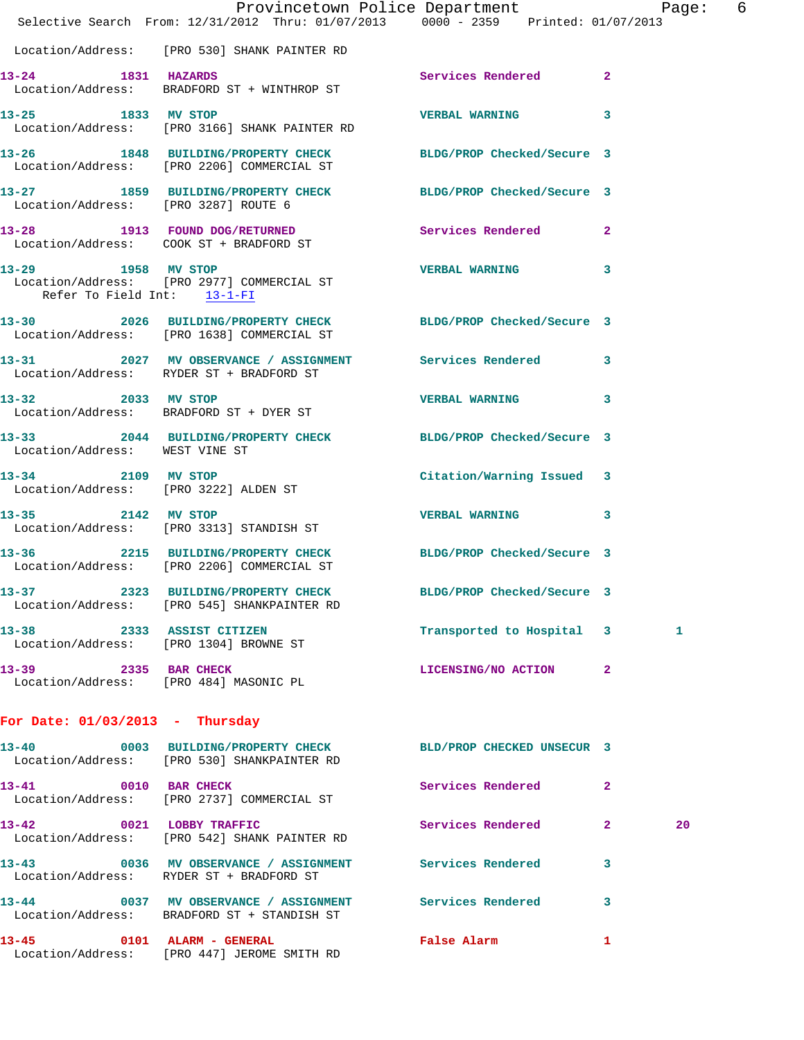|                                       | Provincetown Police Department Page: 6<br>Selective Search From: 12/31/2012 Thru: 01/07/2013 0000 - 2359 Printed: 01/07/2013 |                            |   |    |  |
|---------------------------------------|------------------------------------------------------------------------------------------------------------------------------|----------------------------|---|----|--|
|                                       | Location/Address: [PRO 530] SHANK PAINTER RD                                                                                 |                            |   |    |  |
| 13-24 1831 HAZARDS                    | Location/Address: BRADFORD ST + WINTHROP ST                                                                                  | Services Rendered 2        |   |    |  |
|                                       | 13-25 1833 MV STOP<br>Location/Address: [PRO 3166] SHANK PAINTER RD                                                          | VERBAL WARNING 3           |   |    |  |
|                                       | 13-26 1848 BUILDING/PROPERTY CHECK BLDG/PROP Checked/Secure 3<br>Location/Address: [PRO 2206] COMMERCIAL ST                  |                            |   |    |  |
|                                       | 13-27 1859 BUILDING/PROPERTY CHECK BLDG/PROP Checked/Secure 3<br>Location/Address: [PRO 3287] ROUTE 6                        |                            |   |    |  |
|                                       | 13-28 1913 FOUND DOG/RETURNED Services Rendered 2<br>Location/Address: COOK ST + BRADFORD ST                                 |                            |   |    |  |
| Refer To Field Int: 13-1-FI           | 13-29 1958 MV STOP<br>Location/Address: [PRO 2977] COMMERCIAL ST                                                             | VERBAL WARNING 3           |   |    |  |
|                                       | 13-30 2026 BUILDING/PROPERTY CHECK BLDG/PROP Checked/Secure 3<br>Location/Address: [PRO 1638] COMMERCIAL ST                  |                            |   |    |  |
|                                       | 13-31 2027 MV OBSERVANCE / ASSIGNMENT Services Rendered 3<br>Location/Address: RYDER ST + BRADFORD ST                        |                            |   |    |  |
|                                       | 13-32 2033 MV STOP<br>Location/Address: BRADFORD ST + DYER ST                                                                | <b>VERBAL WARNING</b>      | 3 |    |  |
| Location/Address: WEST VINE ST        | 13-33 2044 BUILDING/PROPERTY CHECK BLDG/PROP Checked/Secure 3                                                                |                            |   |    |  |
| Location/Address: [PRO 3222] ALDEN ST | 13-34 2109 MV STOP                                                                                                           | Citation/Warning Issued 3  |   |    |  |
| 13-35 2142 MV STOP                    | Location/Address: [PRO 3313] STANDISH ST                                                                                     | VERBAL WARNING 3           |   |    |  |
|                                       | 13-36 2215 BUILDING/PROPERTY CHECK BLDG/PROP Checked/Secure 3<br>Location/Address: [PRO 2206] COMMERCIAL ST                  |                            |   |    |  |
|                                       | 13-37 2323 BUILDING/PROPERTY CHECK<br>Location/Address: [PRO 545] SHANKPAINTER RD                                            | BLDG/PROP Checked/Secure 3 |   |    |  |
| 13-38 2333 ASSIST CITIZEN             | Location/Address: [PRO 1304] BROWNE ST                                                                                       | Transported to Hospital 3  |   | 1  |  |
| 13-39 2335 BAR CHECK                  | Location/Address: [PRO 484] MASONIC PL                                                                                       | LICENSING/NO ACTION 2      |   |    |  |
| For Date: $01/03/2013$ - Thursday     |                                                                                                                              |                            |   |    |  |
|                                       | 13-40  0003 BUILDING/PROPERTY CHECK BLD/PROP CHECKED UNSECUR 3<br>Location/Address: [PRO 530] SHANKPAINTER RD                |                            |   |    |  |
|                                       | 13-41 0010 BAR CHECK<br>Location/Address: [PRO 2737] COMMERCIAL ST                                                           | Services Rendered          | 2 |    |  |
| 13-42 0021 LOBBY TRAFFIC              | Location/Address: [PRO 542] SHANK PAINTER RD                                                                                 | <b>Services Rendered</b> 2 |   | 20 |  |
|                                       | 13-43 0036 MV OBSERVANCE / ASSIGNMENT Services Rendered<br>Location/Address: RYDER ST + BRADFORD ST                          |                            | 3 |    |  |
|                                       | 13-44 0037 MV OBSERVANCE / ASSIGNMENT Services Rendered<br>Location/Address: BRADFORD ST + STANDISH ST                       |                            | 3 |    |  |
|                                       | 13-45 0101 ALARM - GENERAL<br>Location/Address: [PRO 447] JEROME SMITH RD                                                    | False Alarm                | 1 |    |  |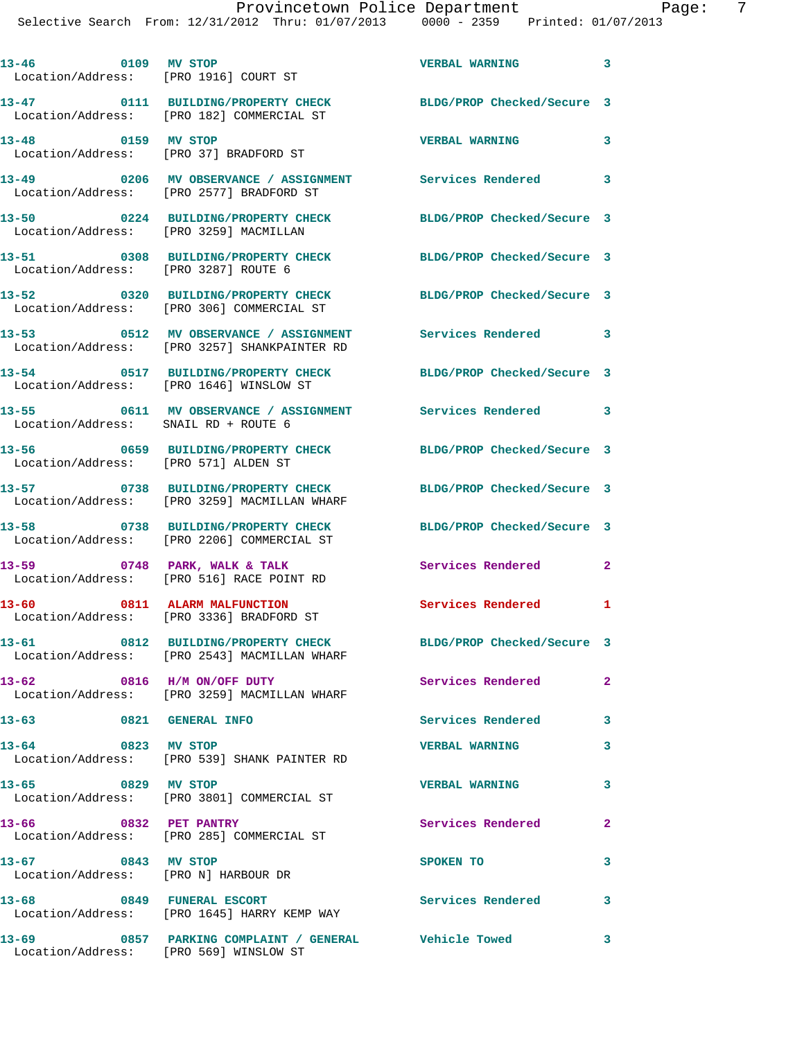**13-46 0109 MV STOP VERBAL WARNING 3**  Location/Address: [PRO 1916] COURT ST **13-47 0111 BUILDING/PROPERTY CHECK BLDG/PROP Checked/Secure 3**  Location/Address: [PRO 182] COMMERCIAL ST **13-48 0159 MV STOP VERBAL WARNING 3**  Location/Address: [PRO 37] BRADFORD ST **13-49 0206 MV OBSERVANCE / ASSIGNMENT Services Rendered 3**  Location/Address: [PRO 2577] BRADFORD ST **13-50 0224 BUILDING/PROPERTY CHECK BLDG/PROP Checked/Secure 3**  Location/Address: [PRO 3259] MACMILLAN **13-51 0308 BUILDING/PROPERTY CHECK BLDG/PROP Checked/Secure 3**  Location/Address: [PRO 3287] ROUTE 6 **13-52 0320 BUILDING/PROPERTY CHECK BLDG/PROP Checked/Secure 3**  Location/Address: [PRO 306] COMMERCIAL ST **13-53 0512 MV OBSERVANCE / ASSIGNMENT Services Rendered 3**  Location/Address: [PRO 3257] SHANKPAINTER RD **13-54 0517 BUILDING/PROPERTY CHECK BLDG/PROP Checked/Secure 3**  Location/Address: [PRO 1646] WINSLOW ST **13-55 0611 MV OBSERVANCE / ASSIGNMENT Services Rendered 3**  Location/Address: SNAIL RD + ROUTE 6 **13-56 0659 BUILDING/PROPERTY CHECK BLDG/PROP Checked/Secure 3**  Location/Address: [PRO 571] ALDEN ST **13-57 0738 BUILDING/PROPERTY CHECK BLDG/PROP Checked/Secure 3**  Location/Address: [PRO 3259] MACMILLAN WHARF **13-58 0738 BUILDING/PROPERTY CHECK BLDG/PROP Checked/Secure 3**  [PRO 2206] COMMERCIAL ST **13-59 0748 PARK, WALK & TALK Services Rendered 2**  Location/Address: [PRO 516] RACE POINT RD **13-60 0811 ALARM MALFUNCTION Services Rendered 1**  Location/Address: [PRO 3336] BRADFORD ST **13-61 0812 BUILDING/PROPERTY CHECK BLDG/PROP Checked/Secure 3**  Location/Address: [PRO 2543] MACMILLAN WHARF **13-62 0816 H/M ON/OFF DUTY Services Rendered 2**  Location/Address: [PRO 3259] MACMILLAN WHARF **13-63 0821 GENERAL INFO Services Rendered 3 13-64 0823 MV STOP VERBAL WARNING 3**  Location/Address: [PRO 539] SHANK PAINTER RD **13-65 0829 MV STOP VERBAL WARNING 3**  Location/Address: [PRO 3801] COMMERCIAL ST **13-66 0832 PET PANTRY Services Rendered 2**  Location/Address: [PRO 285] COMMERCIAL ST **13-67 0843 MV STOP SPOKEN TO 3**  Location/Address: [PRO N] HARBOUR DR **13-68 0849 FUNERAL ESCORT Services Rendered 3**  Location/Address: [PRO 1645] HARRY KEMP WAY **13-69 0857 PARKING COMPLAINT / GENERAL Vehicle Towed 3** 

Location/Address: [PRO 569] WINSLOW ST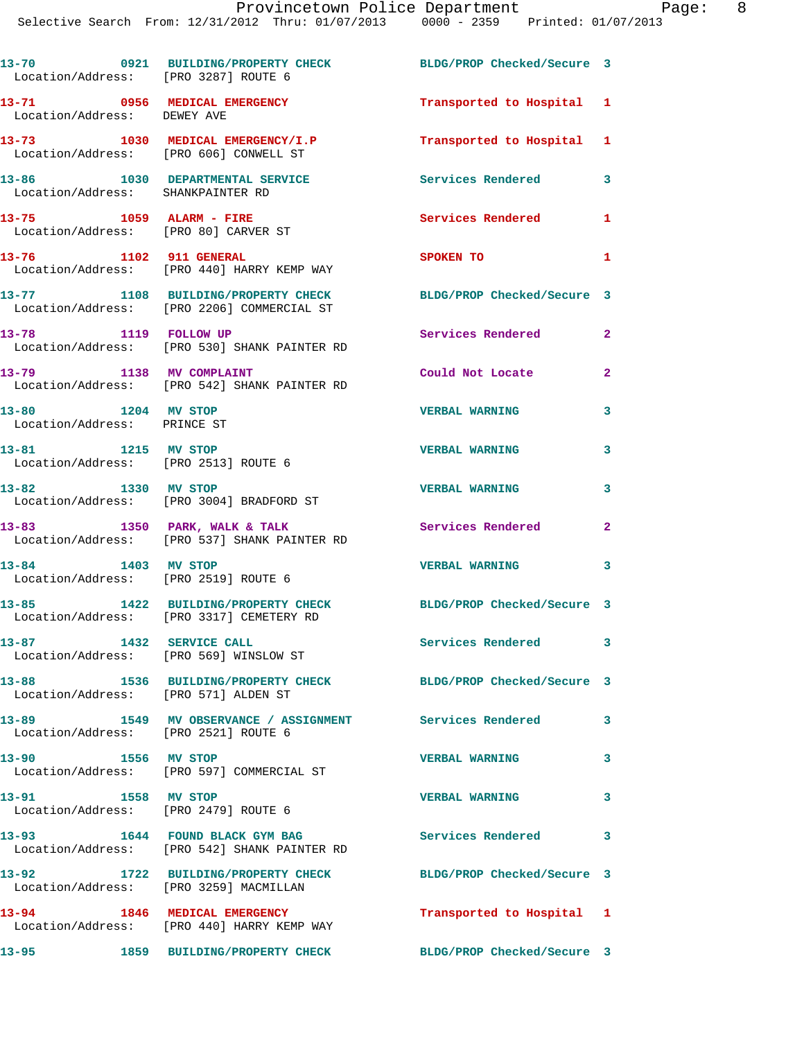| Location/Address: [PRO 3287] ROUTE 6                              | 13-70 0921 BUILDING/PROPERTY CHECK                                               | BLDG/PROP Checked/Secure 3 |              |
|-------------------------------------------------------------------|----------------------------------------------------------------------------------|----------------------------|--------------|
| Location/Address: DEWEY AVE                                       | 13-71 0956 MEDICAL EMERGENCY                                                     | Transported to Hospital 1  |              |
| Location/Address: [PRO 606] CONWELL ST                            | 13-73 1030 MEDICAL EMERGENCY/I.P                                                 | Transported to Hospital 1  |              |
| Location/Address: SHANKPAINTER RD                                 | 13-86 1030 DEPARTMENTAL SERVICE                                                  | Services Rendered          | 3            |
| 13-75 1059 ALARM - FIRE<br>Location/Address: [PRO 80] CARVER ST   |                                                                                  | <b>Services Rendered</b>   | 1            |
| 13-76 1102 911 GENERAL                                            | Location/Address: [PRO 440] HARRY KEMP WAY                                       | SPOKEN TO                  | 1            |
|                                                                   | 13-77 1108 BUILDING/PROPERTY CHECK<br>Location/Address: [PRO 2206] COMMERCIAL ST | BLDG/PROP Checked/Secure 3 |              |
| 13-78 1119 FOLLOW UP                                              | Location/Address: [PRO 530] SHANK PAINTER RD                                     | Services Rendered 2        |              |
| 13-79 1138 MV COMPLAINT                                           | Location/Address: [PRO 542] SHANK PAINTER RD                                     | Could Not Locate           | $\mathbf{2}$ |
| 13-80 1204 MV STOP<br>Location/Address: PRINCE ST                 |                                                                                  | <b>VERBAL WARNING</b>      | 3            |
| 13-81 1215 MV STOP<br>Location/Address: [PRO 2513] ROUTE 6        |                                                                                  | <b>VERBAL WARNING</b>      | 3            |
| 13-82 1330 MV STOP                                                | Location/Address: [PRO 3004] BRADFORD ST                                         | <b>VERBAL WARNING</b>      | 3            |
|                                                                   | 13-83 1350 PARK, WALK & TALK<br>Location/Address: [PRO 537] SHANK PAINTER RD     | Services Rendered          | $\mathbf{2}$ |
| 13-84 1403 MV STOP<br>Location/Address: [PRO 2519] ROUTE 6        |                                                                                  | <b>VERBAL WARNING</b>      | 3            |
|                                                                   | 13-85 1422 BUILDING/PROPERTY CHECK<br>Location/Address: [PRO 3317] CEMETERY RD   | BLDG/PROP Checked/Secure 3 |              |
| 13-87 1432 SERVICE CALL<br>Location/Address: [PRO 569] WINSLOW ST |                                                                                  | Services Rendered 3        |              |
| Location/Address: [PRO 571] ALDEN ST                              | 13-88 1536 BUILDING/PROPERTY CHECK                                               | BLDG/PROP Checked/Secure 3 |              |
| Location/Address: [PRO 2521] ROUTE 6                              | 13-89 		 1549 MV OBSERVANCE / ASSIGNMENT Services Rendered                       |                            | 3            |
| 13-90 1556 MV STOP                                                | Location/Address: [PRO 597] COMMERCIAL ST                                        | <b>VERBAL WARNING</b>      | 3            |
| 1558 MV STOP<br>13-91<br>Location/Address: [PRO 2479] ROUTE 6     |                                                                                  | <b>VERBAL WARNING</b>      | 3            |
|                                                                   | 13-93 1644 FOUND BLACK GYM BAG<br>Location/Address: [PRO 542] SHANK PAINTER RD   | <b>Services Rendered</b>   | 3            |
| Location/Address: [PRO 3259] MACMILLAN                            | 13-92 1722 BUILDING/PROPERTY CHECK                                               | BLDG/PROP Checked/Secure 3 |              |
|                                                                   | 13-94 1846 MEDICAL EMERGENCY<br>Location/Address: [PRO 440] HARRY KEMP WAY       | Transported to Hospital 1  |              |
| 13-95                                                             | 1859 BUILDING/PROPERTY CHECK                                                     | BLDG/PROP Checked/Secure 3 |              |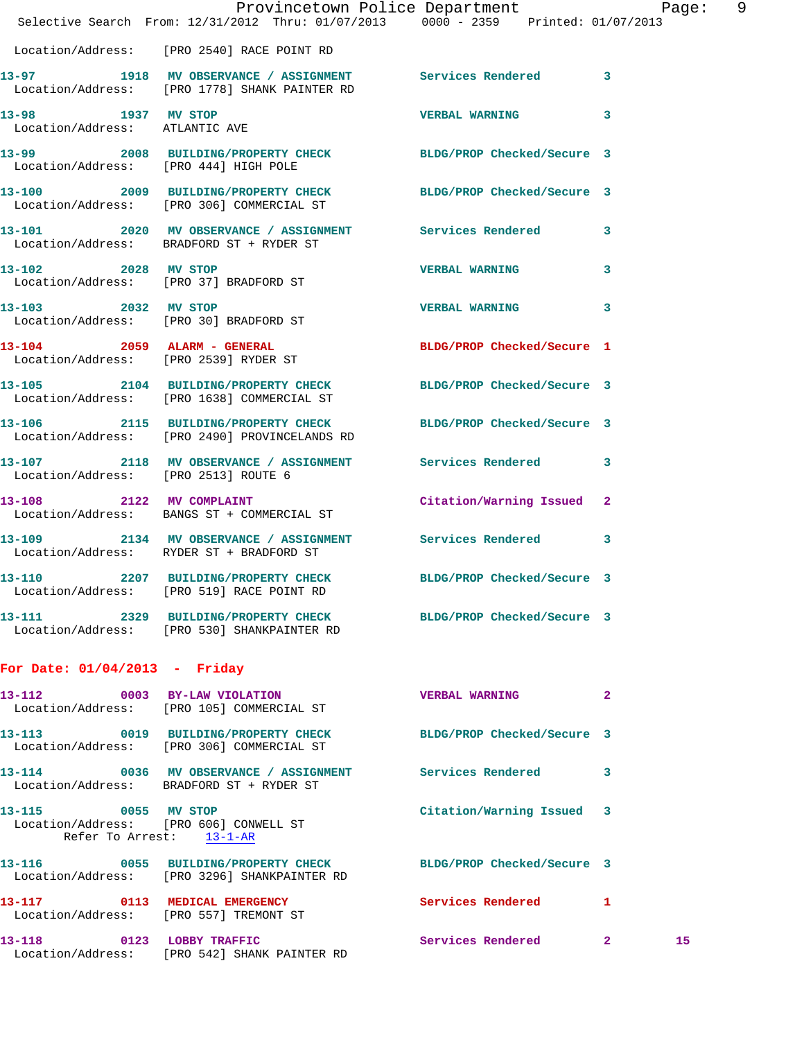|                                 | Selective Search From: 12/31/2012 Thru: 01/07/2013 0000 - 2359 Printed: 01/07/2013                              | Provincetown Police Department Page: 9 |              |    |  |
|---------------------------------|-----------------------------------------------------------------------------------------------------------------|----------------------------------------|--------------|----|--|
|                                 | Location/Address: [PRO 2540] RACE POINT RD                                                                      |                                        |              |    |  |
|                                 | 13-97 1918 MV OBSERVANCE / ASSIGNMENT Services Rendered 3<br>Location/Address: [PRO 1778] SHANK PAINTER RD      |                                        |              |    |  |
| Location/Address: ATLANTIC AVE  | 13-98 1937 MV STOP                                                                                              | <b>VERBAL WARNING</b>                  | 3            |    |  |
|                                 | 13-99 2008 BUILDING/PROPERTY CHECK BLDG/PROP Checked/Secure 3<br>Location/Address: [PRO 444] HIGH POLE          |                                        |              |    |  |
|                                 | 13-100 2009 BUILDING/PROPERTY CHECK BLDG/PROP Checked/Secure 3<br>Location/Address: [PRO 306] COMMERCIAL ST     |                                        |              |    |  |
|                                 | 13-101 2020 MV OBSERVANCE / ASSIGNMENT Services Rendered 3<br>Location/Address: BRADFORD ST + RYDER ST          |                                        |              |    |  |
|                                 | 13-102 2028 MV STOP<br>Location/Address: [PRO 37] BRADFORD ST                                                   | <b>VERBAL WARNING</b>                  | 3            |    |  |
|                                 | 13-103 2032 MV STOP<br>Location/Address: [PRO 30] BRADFORD ST                                                   | <b>VERBAL WARNING</b>                  | 3            |    |  |
|                                 | 13-104 2059 ALARM - GENERAL<br>Location/Address: [PRO 2539] RYDER ST                                            | BLDG/PROP Checked/Secure 1             |              |    |  |
|                                 | 13-105 2104 BUILDING/PROPERTY CHECK BLDG/PROP Checked/Secure 3<br>Location/Address: [PRO 1638] COMMERCIAL ST    |                                        |              |    |  |
|                                 | 13-106 2115 BUILDING/PROPERTY CHECK BLDG/PROP Checked/Secure 3<br>Location/Address: [PRO 2490] PROVINCELANDS RD |                                        |              |    |  |
|                                 | 13-107 2118 MV OBSERVANCE / ASSIGNMENT Services Rendered<br>Location/Address: [PRO 2513] ROUTE 6                |                                        | 3            |    |  |
|                                 | 13-108 2122 MV COMPLAINT<br>Location/Address: BANGS ST + COMMERCIAL ST                                          | Citation/Warning Issued 2              |              |    |  |
|                                 | 13-109 2134 MV OBSERVANCE / ASSIGNMENT Services Rendered<br>Location/Address: RYDER ST + BRADFORD ST            |                                        | 3            |    |  |
| 13-110                          | 2207 BUILDING/PROPERTY CHECK BLDG/PROP Checked/Secure 3<br>Location/Address: [PRO 519] RACE POINT RD            |                                        |              |    |  |
|                                 | 13-111 2329 BUILDING/PROPERTY CHECK BLDG/PROP Checked/Secure 3<br>Location/Address: [PRO 530] SHANKPAINTER RD   |                                        |              |    |  |
| For Date: $01/04/2013$ - Friday |                                                                                                                 |                                        |              |    |  |
|                                 | 13-112 0003 BY-LAW VIOLATION<br>Location/Address: [PRO 105] COMMERCIAL ST                                       | <b>VERBAL WARNING</b>                  | -2           |    |  |
|                                 | 13-113 0019 BUILDING/PROPERTY CHECK BLDG/PROP Checked/Secure 3<br>Location/Address: [PRO 306] COMMERCIAL ST     |                                        |              |    |  |
|                                 | 13-114 0036 MV OBSERVANCE / ASSIGNMENT Services Rendered<br>Location/Address: BRADFORD ST + RYDER ST            |                                        | 3            |    |  |
| 13-115 0055 MV STOP             | Location/Address: [PRO 606] CONWELL ST<br>Refer To Arrest: 13-1-AR                                              | Citation/Warning Issued 3              |              |    |  |
|                                 | 13-116 0055 BUILDING/PROPERTY CHECK<br>Location/Address: [PRO 3296] SHANKPAINTER RD                             | BLDG/PROP Checked/Secure 3             |              |    |  |
|                                 | 13-117 0113 MEDICAL EMERGENCY<br>Location/Address: [PRO 557] TREMONT ST                                         | <b>Services Rendered</b> 1             |              |    |  |
|                                 | 13-118 0123 LOBBY TRAFFIC<br>Location/Address: [PRO 542] SHANK PAINTER RD                                       | Services Rendered                      | $\mathbf{2}$ | 15 |  |
|                                 |                                                                                                                 |                                        |              |    |  |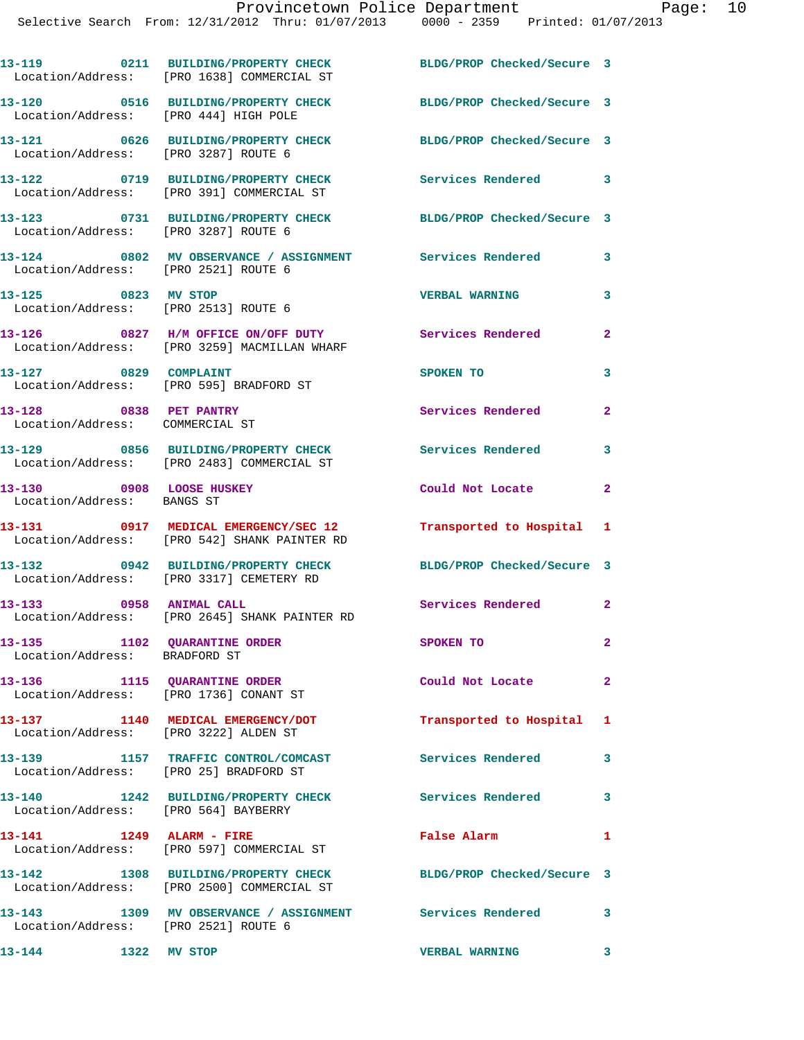|                                                                  | 13-119 0211 BUILDING/PROPERTY CHECK<br>Location/Address: [PRO 1638] COMMERCIAL ST                            | BLDG/PROP Checked/Secure 3 |                |
|------------------------------------------------------------------|--------------------------------------------------------------------------------------------------------------|----------------------------|----------------|
| Location/Address: [PRO 444] HIGH POLE                            | 13-120 0516 BUILDING/PROPERTY CHECK                                                                          | BLDG/PROP Checked/Secure 3 |                |
| Location/Address: [PRO 3287] ROUTE 6                             | 13-121 0626 BUILDING/PROPERTY CHECK                                                                          | BLDG/PROP Checked/Secure 3 |                |
| 13-122                                                           | 0719 BUILDING/PROPERTY CHECK<br>Location/Address: [PRO 391] COMMERCIAL ST                                    | Services Rendered 3        |                |
| Location/Address: [PRO 3287] ROUTE 6                             | 13-123 0731 BUILDING/PROPERTY CHECK                                                                          | BLDG/PROP Checked/Secure 3 |                |
| Location/Address: [PRO 2521] ROUTE 6                             | 13-124 0802 MV OBSERVANCE / ASSIGNMENT Services Rendered                                                     |                            | 3              |
| 13-125 0823 MV STOP<br>Location/Address: [PRO 2513] ROUTE 6      |                                                                                                              | <b>VERBAL WARNING</b>      | 3              |
|                                                                  | 13-126 0827 H/M OFFICE ON/OFF DUTY<br>Location/Address: [PRO 3259] MACMILLAN WHARF                           | Services Rendered          | $\overline{a}$ |
| 13-127 0829 COMPLAINT<br>Location/Address: [PRO 595] BRADFORD ST |                                                                                                              | SPOKEN TO                  | 3              |
| 13-128 0838 PET PANTRY<br>Location/Address: COMMERCIAL ST        |                                                                                                              | Services Rendered          | $\mathbf{2}$   |
|                                                                  | 13-129 0856 BUILDING/PROPERTY CHECK<br>Location/Address: [PRO 2483] COMMERCIAL ST                            | <b>Services Rendered</b>   | 3              |
| 13-130 0908 LOOSE HUSKEY<br>Location/Address: BANGS ST           |                                                                                                              | Could Not Locate           | $\mathbf{2}$   |
|                                                                  | 13-131 0917 MEDICAL EMERGENCY/SEC 12<br>Location/Address: [PRO 542] SHANK PAINTER RD                         | Transported to Hospital 1  |                |
|                                                                  | 13-132 0942 BUILDING/PROPERTY CHECK<br>Location/Address: [PRO 3317] CEMETERY RD                              | BLDG/PROP Checked/Secure 3 |                |
| 0958 ANIMAL CALL<br>13–133                                       | Location/Address: [PRO 2645] SHANK PAINTER RD                                                                | Services Rendered 2        |                |
| 13-135 1102 QUARANTINE ORDER<br>Location/Address: BRADFORD ST    |                                                                                                              | <b>SPOKEN TO</b>           | $\mathbf{2}^-$ |
| 13-136 1115 QUARANTINE ORDER                                     | Location/Address: [PRO 1736] CONANT ST                                                                       | Could Not Locate           | $\mathbf{2}$   |
| Location/Address: [PRO 3222] ALDEN ST                            | 13-137 1140 MEDICAL EMERGENCY/DOT                                                                            | Transported to Hospital 1  |                |
| Location/Address: [PRO 25] BRADFORD ST                           | 13-139 1157 TRAFFIC CONTROL/COMCAST                                                                          | <b>Services Rendered</b>   | 3              |
| Location/Address: [PRO 564] BAYBERRY                             | 13-140 1242 BUILDING/PROPERTY CHECK                                                                          | Services Rendered 3        |                |
| 13-141 1249 ALARM - FIRE                                         | Location/Address: [PRO 597] COMMERCIAL ST                                                                    | False Alarm                | $\mathbf{1}$   |
|                                                                  | 13-142 1308 BUILDING/PROPERTY CHECK BLDG/PROP Checked/Secure 3<br>Location/Address: [PRO 2500] COMMERCIAL ST |                            |                |
| 13-143<br>Location/Address: [PRO 2521] ROUTE 6                   | 1309 MV OBSERVANCE / ASSIGNMENT Services Rendered 3                                                          |                            |                |
| 13-144<br>1322 MV STOP                                           |                                                                                                              | <b>VERBAL WARNING</b>      | 3              |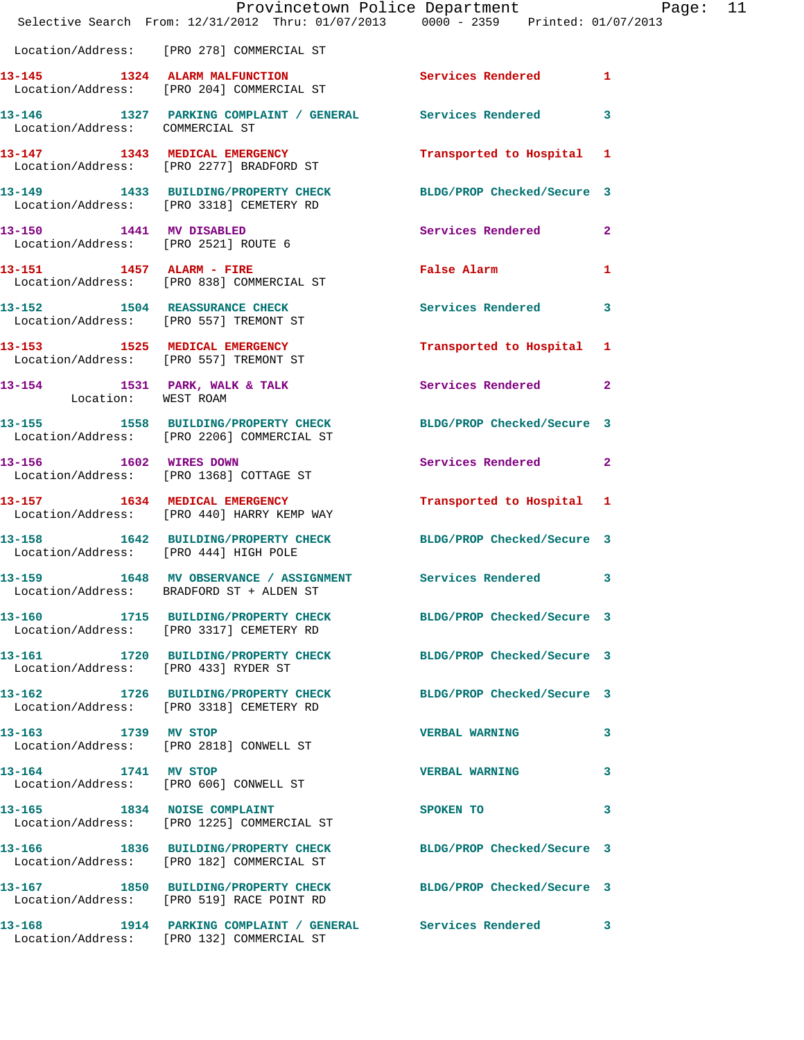|                                 | Provincetown Police Department Page: 11<br>Selective Search From: 12/31/2012 Thru: 01/07/2013 0000 - 2359 Printed: 01/07/2013 |                           |              |
|---------------------------------|-------------------------------------------------------------------------------------------------------------------------------|---------------------------|--------------|
|                                 | Location/Address: [PRO 278] COMMERCIAL ST                                                                                     |                           |              |
|                                 | 13-145 1324 ALARM MALFUNCTION<br>Location/Address: [PRO 204] COMMERCIAL ST                                                    | Services Rendered 1       |              |
| Location/Address: COMMERCIAL ST | 13-146 1327 PARKING COMPLAINT / GENERAL Services Rendered                                                                     |                           | 3            |
|                                 | 13-147 1343 MEDICAL EMERGENCY<br>Location/Address: [PRO 2277] BRADFORD ST                                                     | Transported to Hospital 1 |              |
|                                 | 13-149 1433 BUILDING/PROPERTY CHECK BLDG/PROP Checked/Secure 3<br>Location/Address: [PRO 3318] CEMETERY RD                    |                           |              |
|                                 | 13-150 1441 MV DISABLED<br>Location/Address: [PRO 2521] ROUTE 6                                                               | Services Rendered 2       |              |
|                                 | 13-151 1457 ALARM - FIRE<br>Location/Address: [PRO 838] COMMERCIAL ST                                                         | False Alarm               | $\mathbf{1}$ |
|                                 | 13-152 1504 REASSURANCE CHECK<br>Location/Address: [PRO 557] TREMONT ST                                                       | Services Rendered         | 3            |
|                                 | 13-153 1525 MEDICAL EMERGENCY<br>Location/Address: [PRO 557] TREMONT ST                                                       | Transported to Hospital 1 |              |
| Location: WEST ROAM             | 13-154 1531 PARK, WALK & TALK                                                                                                 | Services Rendered         | $\mathbf{2}$ |
|                                 | 13-155 1558 BUILDING/PROPERTY CHECK BLDG/PROP Checked/Secure 3<br>Location/Address: [PRO 2206] COMMERCIAL ST                  |                           |              |
|                                 | 13-156 1602 WIRES DOWN<br>Location/Address: [PRO 1368] COTTAGE ST                                                             | Services Rendered         | $\mathbf{2}$ |
|                                 | 13-157 1634 MEDICAL EMERGENCY<br>Location/Address: [PRO 440] HARRY KEMP WAY                                                   | Transported to Hospital 1 |              |
|                                 | 13-158 1642 BUILDING/PROPERTY CHECK BLDG/PROP Checked/Secure 3<br>Location/Address: [PRO 444] HIGH POLE                       |                           |              |
| 13–159                          | 1648 MV OBSERVANCE / ASSIGNMENT Services Rendered 3<br>Location/Address: BRADFORD ST + ALDEN ST                               |                           |              |
|                                 | 13-160 1715 BUILDING/PROPERTY CHECK BLDG/PROP Checked/Secure 3<br>Location/Address: [PRO 3317] CEMETERY RD                    |                           |              |
|                                 | 13-161 1720 BUILDING/PROPERTY CHECK BLDG/PROP Checked/Secure 3<br>Location/Address: [PRO 433] RYDER ST                        |                           |              |
|                                 | 13-162 1726 BUILDING/PROPERTY CHECK BLDG/PROP Checked/Secure 3<br>Location/Address: [PRO 3318] CEMETERY RD                    |                           |              |
| 13-163 1739 MV STOP             | Location/Address: [PRO 2818] CONWELL ST                                                                                       | <b>VERBAL WARNING</b>     | 3            |
| 13-164 1741 MV STOP             | Location/Address: [PRO 606] CONWELL ST                                                                                        | <b>VERBAL WARNING</b>     | 3            |
|                                 | 13-165 1834 NOISE COMPLAINT<br>Location/Address: [PRO 1225] COMMERCIAL ST                                                     | SPOKEN TO                 | 3            |
|                                 | 13-166 1836 BUILDING/PROPERTY CHECK BLDG/PROP Checked/Secure 3<br>Location/Address: [PRO 182] COMMERCIAL ST                   |                           |              |
|                                 | 13-167 1850 BUILDING/PROPERTY CHECK BLDG/PROP Checked/Secure 3<br>Location/Address: [PRO 519] RACE POINT RD                   |                           |              |
|                                 | 13-168 1914 PARKING COMPLAINT / GENERAL Services Rendered<br>Location/Address: [PRO 132] COMMERCIAL ST                        |                           | 3            |
|                                 |                                                                                                                               |                           |              |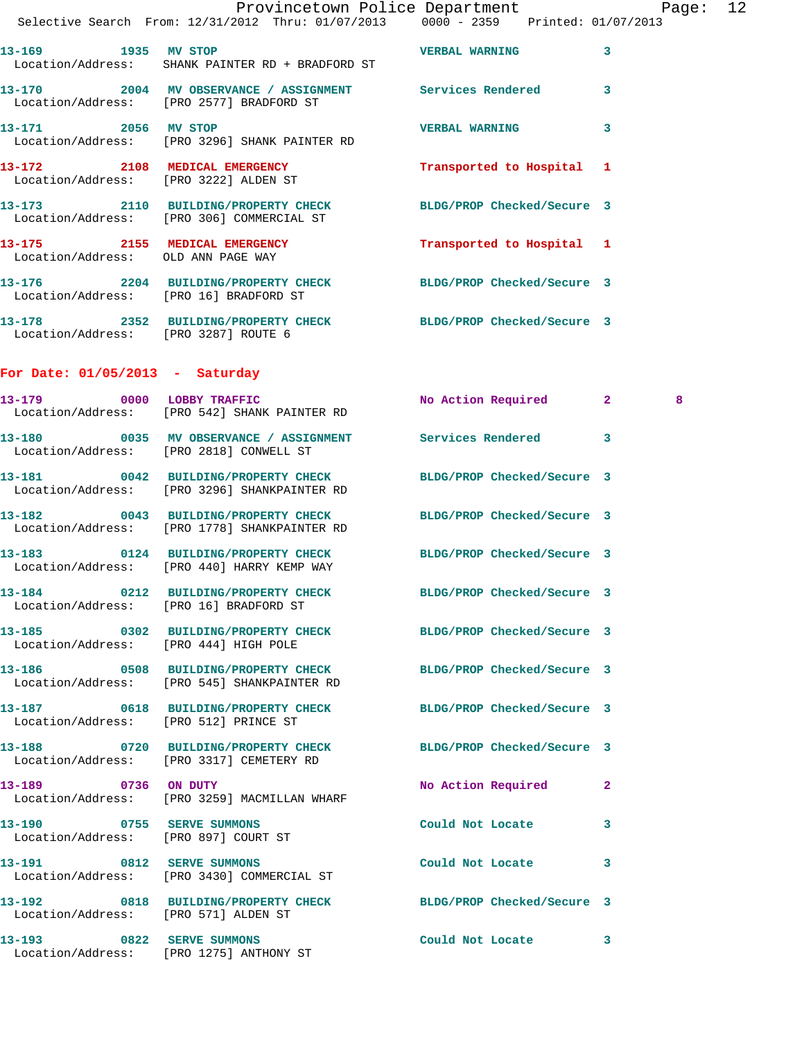|                                      | Provincetown Police Department Page: 12<br>Selective Search From: 12/31/2012 Thru: 01/07/2013  0000 - 2359  Printed: 01/07/2013 |                       |              |  |
|--------------------------------------|---------------------------------------------------------------------------------------------------------------------------------|-----------------------|--------------|--|
|                                      |                                                                                                                                 |                       |              |  |
| 13-169 1935 MV STOP                  | 13-169 1935 MV STOP (USADER BANG VERBAL WARNING Location/Address: SHANK PAINTER RD + BRADFORD ST                                |                       | $\mathbf{3}$ |  |
|                                      | 13-170 2004 MV OBSERVANCE / ASSIGNMENT Services Rendered<br>Location/Address: [PRO 2577] BRADFORD ST                            |                       | 3            |  |
| 13-171 2056 MV STOP                  | Location/Address: [PRO 3296] SHANK PAINTER RD                                                                                   | <b>VERBAL WARNING</b> | 3            |  |
|                                      | 13-172 2108 MEDICAL EMERGENCY Transported to Hospital 1<br>Location/Address: [PRO 3222] ALDEN ST                                |                       |              |  |
|                                      | 13-173 2110 BUILDING/PROPERTY CHECK BLDG/PROP Checked/Secure 3<br>Location/Address: [PRO 306] COMMERCIAL ST                     |                       |              |  |
| Location/Address: OLD ANN PAGE WAY   | 13-175 2155 MEDICAL EMERGENCY Transported to Hospital 1                                                                         |                       |              |  |
|                                      | 13-176 2204 BUILDING/PROPERTY CHECK BLDG/PROP Checked/Secure 3<br>Location/Address: [PRO 16] BRADFORD ST                        |                       |              |  |
| Location/Address: [PRO 3287] ROUTE 6 | 13-178 2352 BUILDING/PROPERTY CHECK BLDG/PROP Checked/Secure 3                                                                  |                       |              |  |
| For Date: $01/05/2013$ - Saturday    |                                                                                                                                 |                       |              |  |
|                                      | 13-179 0000 LOBBY TRAFFIC No Action Required 2<br>Location/Address: [PRO 542] SHANK PAINTER RD                                  |                       | 8            |  |
|                                      | 13-180 0035 MV OBSERVANCE / ASSIGNMENT Services Rendered 3<br>Location/Address: [PRO 2818] CONWELL ST                           |                       |              |  |
|                                      | 13-181 0042 BUILDING/PROPERTY CHECK BLDG/PROP Checked/Secure 3<br>Location/Address: [PRO 3296] SHANKPAINTER RD                  |                       |              |  |
|                                      | 13-182 0043 BUILDING/PROPERTY CHECK BLDG/PROP Checked/Secure 3<br>Location/Address: [PRO 1778] SHANKPAINTER RD                  |                       |              |  |

**13-183 0124 BUILDING/PROPERTY CHECK BLDG/PROP Checked/Secure 3**  Location/Address: [PRO 440] HARRY KEMP WAY

**13-184 0212 BUILDING/PROPERTY CHECK BLDG/PROP Checked/Secure 3**  Location/Address: [PRO 16] BRADFORD ST

Location/Address: [PRO 444] HIGH POLE

Location/Address: [PRO 545] SHANKPAINTER RD

Location/Address: [PRO 512] PRINCE ST

**13-190 0755 SERVE SUMMONS Could Not Locate 3**  Location/Address: [PRO 897] COURT ST

Location/Address: [PRO 1275] ANTHONY ST

Location/Address: [PRO 3317] CEMETERY RD

Location/Address: [PRO 3259] MACMILLAN WHARF

**13-191 0812 SERVE SUMMONS Could Not Locate 3**  Location/Address: [PRO 3430] COMMERCIAL ST

**13-192 0818 BUILDING/PROPERTY CHECK BLDG/PROP Checked/Secure 3**  Location/Address: [PRO 571] ALDEN ST

**13-193 0822 SERVE SUMMONS Could Not Locate 3** 

**13-185 0302 BUILDING/PROPERTY CHECK BLDG/PROP Checked/Secure 3** 

**13-186 0508 BUILDING/PROPERTY CHECK BLDG/PROP Checked/Secure 3** 

**13-187 0618 BUILDING/PROPERTY CHECK BLDG/PROP Checked/Secure 3** 

**13-188 0720 BUILDING/PROPERTY CHECK BLDG/PROP Checked/Secure 3** 

**13-189 0736 ON DUTY No Action Required 2**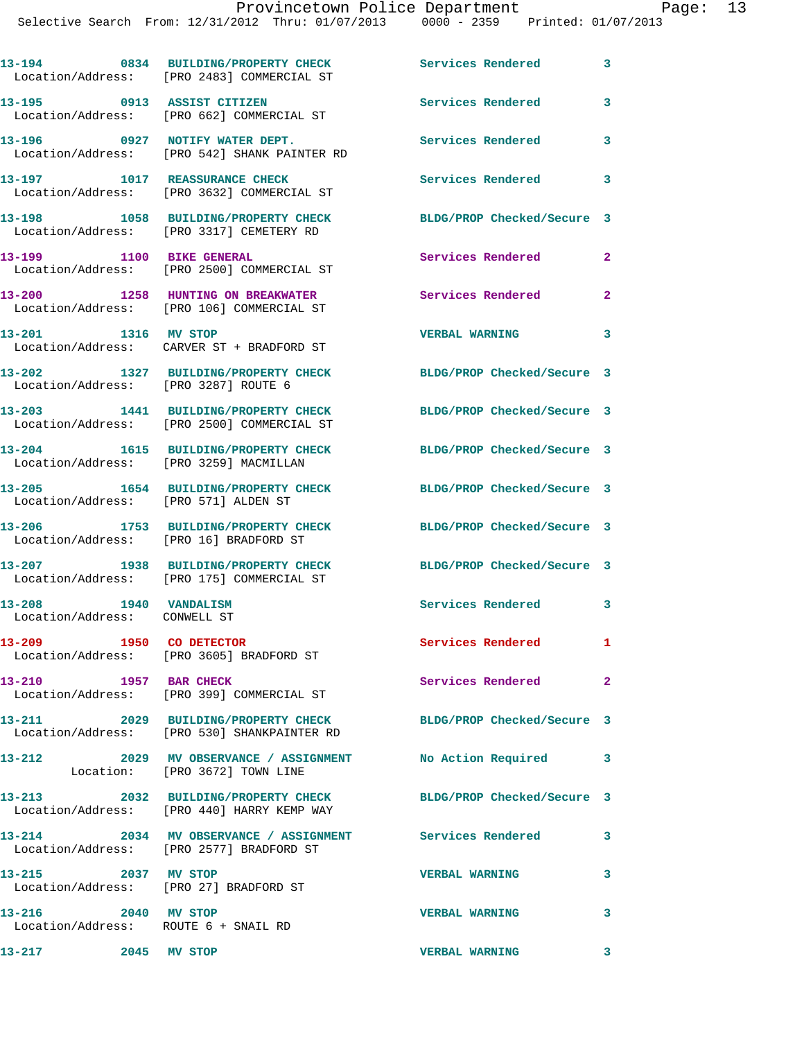|                                                               | 13-194 0834 BUILDING/PROPERTY CHECK<br>Location/Address: [PRO 2483] COMMERCIAL ST                    | <b>Services Rendered</b>   | 3                       |
|---------------------------------------------------------------|------------------------------------------------------------------------------------------------------|----------------------------|-------------------------|
| 13-195 0913 ASSIST CITIZEN                                    | Location/Address: [PRO 662] COMMERCIAL ST                                                            | Services Rendered          | 3                       |
|                                                               | 13-196 0927 NOTIFY WATER DEPT.<br>Location/Address: [PRO 542] SHANK PAINTER RD                       | Services Rendered          | 3                       |
| 13-197 1017 REASSURANCE CHECK                                 | Location/Address: [PRO 3632] COMMERCIAL ST                                                           | Services Rendered          | 3                       |
|                                                               | 13-198 1058 BUILDING/PROPERTY CHECK<br>Location/Address: [PRO 3317] CEMETERY RD                      | BLDG/PROP Checked/Secure 3 |                         |
| 13-199 1100 BIKE GENERAL                                      | Location/Address: [PRO 2500] COMMERCIAL ST                                                           | Services Rendered          | $\mathbf{2}$            |
|                                                               | 13-200 1258 HUNTING ON BREAKWATER<br>Location/Address: [PRO 106] COMMERCIAL ST                       | Services Rendered          | $\mathbf{2}$            |
| 13-201 1316 MV STOP                                           | Location/Address: CARVER ST + BRADFORD ST                                                            | <b>VERBAL WARNING</b>      | 3                       |
| Location/Address: [PRO 3287] ROUTE 6                          | 13-202 1327 BUILDING/PROPERTY CHECK                                                                  | BLDG/PROP Checked/Secure 3 |                         |
|                                                               | 13-203 1441 BUILDING/PROPERTY CHECK<br>Location/Address: [PRO 2500] COMMERCIAL ST                    | BLDG/PROP Checked/Secure 3 |                         |
| Location/Address: [PRO 3259] MACMILLAN                        | 13-204 1615 BUILDING/PROPERTY CHECK                                                                  | BLDG/PROP Checked/Secure 3 |                         |
| Location/Address: [PRO 571] ALDEN ST                          | 13-205 1654 BUILDING/PROPERTY CHECK                                                                  | BLDG/PROP Checked/Secure 3 |                         |
| Location/Address: [PRO 16] BRADFORD ST                        | 13-206 1753 BUILDING/PROPERTY CHECK                                                                  | BLDG/PROP Checked/Secure 3 |                         |
|                                                               | 13-207 1938 BUILDING/PROPERTY CHECK<br>Location/Address: [PRO 175] COMMERCIAL ST                     | BLDG/PROP Checked/Secure 3 |                         |
| 1940 VANDALISM<br>13-208<br>Location/Address: CONWELL ST      |                                                                                                      | <b>Services Rendered</b>   | 3                       |
| 1950 CO DETECTOR<br>13-209                                    | Location/Address: [PRO 3605] BRADFORD ST                                                             | <b>Services Rendered</b>   | 1.                      |
|                                                               | 13-210 1957 BAR CHECK<br>Location/Address: [PRO 399] COMMERCIAL ST                                   | Services Rendered          | $\mathbf{2}$            |
|                                                               | 13-211 2029 BUILDING/PROPERTY CHECK<br>Location/Address: [PRO 530] SHANKPAINTER RD                   | BLDG/PROP Checked/Secure 3 |                         |
| 13-212                                                        | 2029 MV OBSERVANCE / ASSIGNMENT No Action Required<br>Location: [PRO 3672] TOWN LINE                 |                            | $\overline{\mathbf{3}}$ |
|                                                               | 13-213 2032 BUILDING/PROPERTY CHECK<br>Location/Address: [PRO 440] HARRY KEMP WAY                    | BLDG/PROP Checked/Secure 3 |                         |
|                                                               | 13-214 2034 MV OBSERVANCE / ASSIGNMENT Services Rendered<br>Location/Address: [PRO 2577] BRADFORD ST |                            | 3                       |
| 13-215 2037 MV STOP<br>Location/Address: [PRO 27] BRADFORD ST |                                                                                                      | <b>VERBAL WARNING</b>      | 3                       |
| 13-216 2040 MV STOP<br>Location/Address: ROUTE 6 + SNAIL RD   |                                                                                                      | <b>VERBAL WARNING</b>      | 3                       |
| 13-217 2045 MV STOP                                           |                                                                                                      | <b>VERBAL WARNING</b>      | 3                       |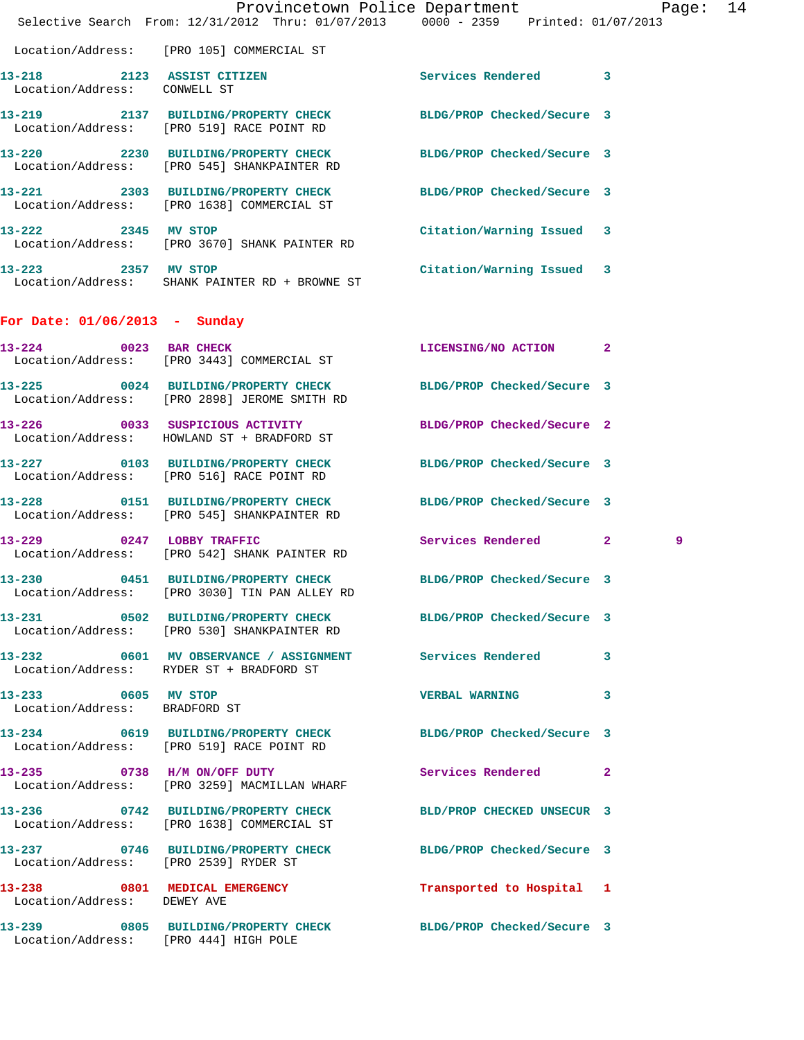|                                                            | Provincetown Police Department<br>Selective Search From: 12/31/2012 Thru: 01/07/2013 0000 - 2359 Printed: 01/07/2013 |                            | Page: 14 |  |
|------------------------------------------------------------|----------------------------------------------------------------------------------------------------------------------|----------------------------|----------|--|
|                                                            | Location/Address: [PRO 105] COMMERCIAL ST                                                                            |                            |          |  |
| 13-218 2123 ASSIST CITIZEN<br>Location/Address: CONWELL ST |                                                                                                                      | Services Rendered 3        |          |  |
|                                                            | 13-219 2137 BUILDING/PROPERTY CHECK<br>Location/Address: [PRO 519] RACE POINT RD                                     | BLDG/PROP Checked/Secure 3 |          |  |
|                                                            | 13-220 2230 BUILDING/PROPERTY CHECK BLDG/PROP Checked/Secure 3<br>Location/Address: [PRO 545] SHANKPAINTER RD        |                            |          |  |
|                                                            | 13-221 2303 BUILDING/PROPERTY CHECK<br>Location/Address: [PRO 1638] COMMERCIAL ST                                    | BLDG/PROP Checked/Secure 3 |          |  |
| 13-222 2345 MV STOP                                        | Location/Address: [PRO 3670] SHANK PAINTER RD                                                                        | Citation/Warning Issued 3  |          |  |
|                                                            | 13-223 2357 MV STOP<br>Location/Address: SHANK PAINTER RD + BROWNE ST                                                | Citation/Warning Issued 3  |          |  |
| For Date: $01/06/2013$ - Sunday                            |                                                                                                                      |                            |          |  |
|                                                            | 13-224 0023 BAR CHECK<br>Location/Address: [PRO 3443] COMMERCIAL ST                                                  | LICENSING/NO ACTION 2      |          |  |
|                                                            | 13-225 0024 BUILDING/PROPERTY CHECK<br>Location/Address: [PRO 2898] JEROME SMITH RD                                  | BLDG/PROP Checked/Secure 3 |          |  |
|                                                            | 13-226 0033 SUSPICIOUS ACTIVITY<br>Location/Address: HOWLAND ST + BRADFORD ST                                        | BLDG/PROP Checked/Secure 2 |          |  |
|                                                            | 13-227 0103 BUILDING/PROPERTY CHECK<br>Location/Address: [PRO 516] RACE POINT RD                                     | BLDG/PROP Checked/Secure 3 |          |  |
|                                                            | 13-228 0151 BUILDING/PROPERTY CHECK BLDG/PROP Checked/Secure 3<br>Location/Address: [PRO 545] SHANKPAINTER RD        |                            |          |  |
|                                                            | 13-229 0247 LOBBY TRAFFIC<br>Location/Address: [PRO 542] SHANK PAINTER RD                                            | Services Rendered 2        | 9        |  |
| 13-230                                                     | 0451 BUILDING/PROPERTY CHECK BLDG/PROP Checked/Secure 3<br>Location/Address: [PRO 3030] TIN PAN ALLEY RD             |                            |          |  |
|                                                            | 13-231 0502 BUILDING/PROPERTY CHECK BLDG/PROP Checked/Secure 3<br>Location/Address: [PRO 530] SHANKPAINTER RD        |                            |          |  |
|                                                            | 13-232 0601 MV OBSERVANCE / ASSIGNMENT Services Rendered 3<br>Location/Address: RYDER ST + BRADFORD ST               |                            |          |  |
| 13-233 0605 MV STOP<br>Location/Address: BRADFORD ST       |                                                                                                                      | <b>VERBAL WARNING</b>      | 3        |  |
|                                                            | 13-234 0619 BUILDING/PROPERTY CHECK BLDG/PROP Checked/Secure 3<br>Location/Address: [PRO 519] RACE POINT RD          |                            |          |  |
|                                                            | 13-235 0738 H/M ON/OFF DUTY<br>Location/Address: [PRO 3259] MACMILLAN WHARF                                          | Services Rendered 2        |          |  |
|                                                            | 13-236 0742 BUILDING/PROPERTY CHECK BLD/PROP CHECKED UNSECUR 3<br>Location/Address: [PRO 1638] COMMERCIAL ST         |                            |          |  |
| Location/Address: [PRO 2539] RYDER ST                      | 13-237 0746 BUILDING/PROPERTY CHECK BLDG/PROP Checked/Secure 3                                                       |                            |          |  |
| Location/Address: DEWEY AVE                                | 13-238 0801 MEDICAL EMERGENCY                                                                                        | Transported to Hospital 1  |          |  |
| Location/Address: [PRO 444] HIGH POLE                      | 13-239 0805 BUILDING/PROPERTY CHECK BLDG/PROP Checked/Secure 3                                                       |                            |          |  |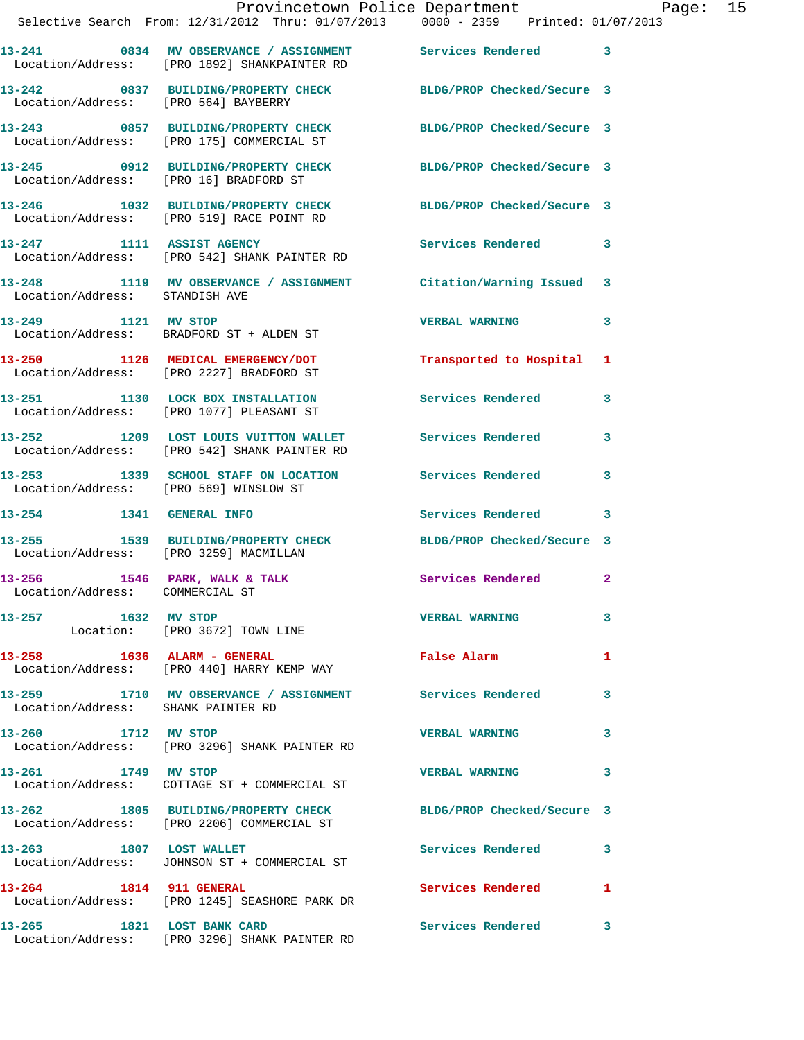|                                 | Provincetown Police Department Page: 15<br>Selective Search From: 12/31/2012 Thru: 01/07/2013 0000 - 2359 Printed: 01/07/2013 |                                                                                                                |                            |  |
|---------------------------------|-------------------------------------------------------------------------------------------------------------------------------|----------------------------------------------------------------------------------------------------------------|----------------------------|--|
|                                 | 13-241 0834 MV OBSERVANCE / ASSIGNMENT Services Rendered 3<br>Location/Address: [PRO 1892] SHANKPAINTER RD                    |                                                                                                                |                            |  |
|                                 | 13-242 0837 BUILDING/PROPERTY CHECK BLDG/PROP Checked/Secure 3<br>Location/Address: [PRO 564] BAYBERRY                        |                                                                                                                |                            |  |
|                                 | 13-243 0857 BUILDING/PROPERTY CHECK BLDG/PROP Checked/Secure 3<br>Location/Address: [PRO 175] COMMERCIAL ST                   |                                                                                                                |                            |  |
|                                 | 13-245 0912 BUILDING/PROPERTY CHECK BLDG/PROP Checked/Secure 3<br>Location/Address: [PRO 16] BRADFORD ST                      |                                                                                                                |                            |  |
|                                 | 13-246 1032 BUILDING/PROPERTY CHECK BLDG/PROP Checked/Secure 3<br>Location/Address: [PRO 519] RACE POINT RD                   |                                                                                                                |                            |  |
|                                 | 13-247 1111 ASSIST AGENCY<br>Location/Address: [PRO 542] SHANK PAINTER RD                                                     | <b>Services Rendered</b> 3                                                                                     |                            |  |
| Location/Address: STANDISH AVE  | 13-248 1119 MV OBSERVANCE / ASSIGNMENT Citation/Warning Issued 3                                                              |                                                                                                                |                            |  |
|                                 | 13-249 1121 MV STOP<br>Location/Address: BRADFORD ST + ALDEN ST                                                               | <b>VERBAL WARNING</b>                                                                                          | 3                          |  |
|                                 | 13-250 1126 MEDICAL EMERGENCY/DOT<br>Location/Address: [PRO 2227] BRADFORD ST                                                 | Transported to Hospital 1                                                                                      |                            |  |
|                                 | 13-251 1130 LOCK BOX INSTALLATION<br>Location/Address: [PRO 1077] PLEASANT ST                                                 | Services Rendered                                                                                              | 3                          |  |
|                                 | 13-252 1209 LOST LOUIS VUITTON WALLET Services Rendered 3<br>Location/Address: [PRO 542] SHANK PAINTER RD                     |                                                                                                                |                            |  |
|                                 | 13-253 1339 SCHOOL STAFF ON LOCATION Services Rendered<br>Location/Address: [PRO 569] WINSLOW ST                              |                                                                                                                | 3                          |  |
|                                 | 13-254 1341 GENERAL INFO                                                                                                      | Services Rendered 3                                                                                            |                            |  |
|                                 | 13-255 1539 BUILDING/PROPERTY CHECK<br>Location/Address: [PRO 3259] MACMILLAN                                                 | BLDG/PROP Checked/Secure 3                                                                                     |                            |  |
| Location/Address: COMMERCIAL ST | 13-256 1546 PARK, WALK & TALK 1999 Services Rendered 2                                                                        |                                                                                                                |                            |  |
|                                 | 13-257 1632 MV STOP<br>Location: [PRO 3672] TOWN LINE                                                                         | <b>VERBAL WARNING</b>                                                                                          | 3                          |  |
|                                 | 13-258 1636 ALARM - GENERAL<br>Location/Address: [PRO 440] HARRY KEMP WAY                                                     | False Alarm and the state of the state of the state of the state of the state of the state of the state of the | 1                          |  |
|                                 | 13-259 1710 MV OBSERVANCE / ASSIGNMENT Services Rendered 3<br>Location/Address: SHANK PAINTER RD                              |                                                                                                                |                            |  |
| 13-260 1712 MV STOP             | Location/Address: [PRO 3296] SHANK PAINTER RD                                                                                 | <b>VERBAL WARNING</b>                                                                                          | $\overline{\phantom{a}}$ 3 |  |
| 13-261 1749 MV STOP             |                                                                                                                               | <b>VERBAL WARNING</b>                                                                                          | 3                          |  |
|                                 | 13-262 1805 BUILDING/PROPERTY CHECK BLDG/PROP Checked/Secure 3<br>Location/Address: [PRO 2206] COMMERCIAL ST                  |                                                                                                                |                            |  |
|                                 | 13-263 1807 LOST WALLET<br>Location/Address: JOHNSON ST + COMMERCIAL ST                                                       | Services Rendered 3                                                                                            |                            |  |
|                                 | 13-264 1814 911 GENERAL<br>Location/Address: [PRO 1245] SEASHORE PARK DR                                                      | Services Rendered 1                                                                                            |                            |  |
|                                 | 13-265 1821 LOST BANK CARD<br>Location/Address: [PRO 3296] SHANK PAINTER RD                                                   | Services Rendered                                                                                              | 3                          |  |